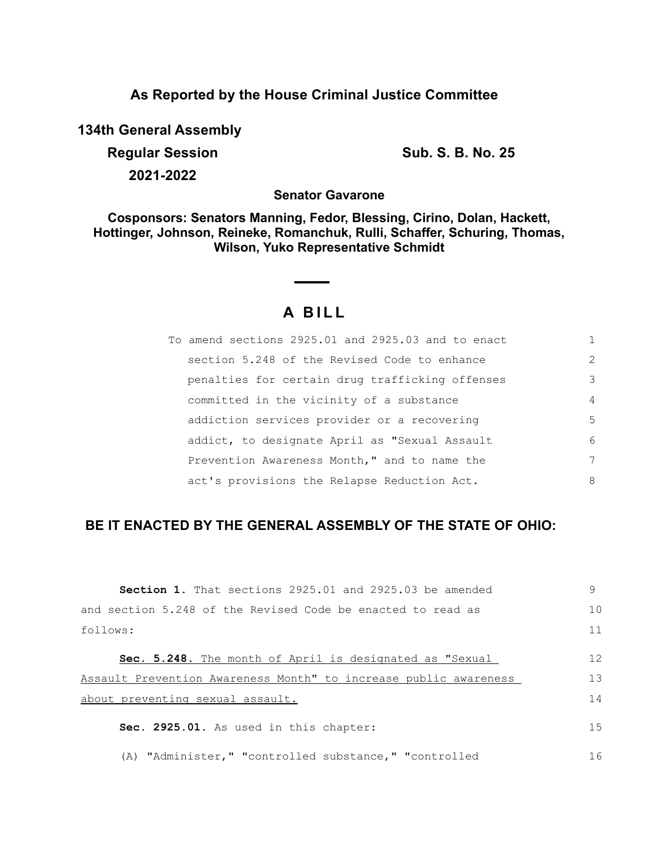## **As Reported by the House Criminal Justice Committee**

**134th General Assembly**

**Regular Session Sub. S. B. No. 25** 

**2021-2022**

**Senator Gavarone**

**Cosponsors: Senators Manning, Fedor, Blessing, Cirino, Dolan, Hackett, Hottinger, Johnson, Reineke, Romanchuk, Rulli, Schaffer, Schuring, Thomas, Wilson, Yuko Representative Schmidt**

# **A B I L L**

| To amend sections 2925.01 and 2925.03 and to enact |   |
|----------------------------------------------------|---|
| section 5.248 of the Revised Code to enhance       | 2 |
| penalties for certain drug trafficking offenses    | 3 |
| committed in the vicinity of a substance           | 4 |
| addiction services provider or a recovering        | 5 |
| addict, to designate April as "Sexual Assault      | 6 |
| Prevention Awareness Month," and to name the       | 7 |
| act's provisions the Relapse Reduction Act.        | 8 |

## **BE IT ENACTED BY THE GENERAL ASSEMBLY OF THE STATE OF OHIO:**

| <b>Section 1.</b> That sections 2925.01 and 2925.03 be amended   | 9   |
|------------------------------------------------------------------|-----|
| and section 5.248 of the Revised Code be enacted to read as      | 10  |
| follows:                                                         | 11  |
| Sec. 5.248. The month of April is designated as "Sexual          | 12  |
| Assault Prevention Awareness Month" to increase public awareness | 13  |
| about preventing sexual assault.                                 | 14  |
| Sec. 2925.01. As used in this chapter:                           | 1.5 |
| (A) "Administer," "controlled substance," "controlled            | 16  |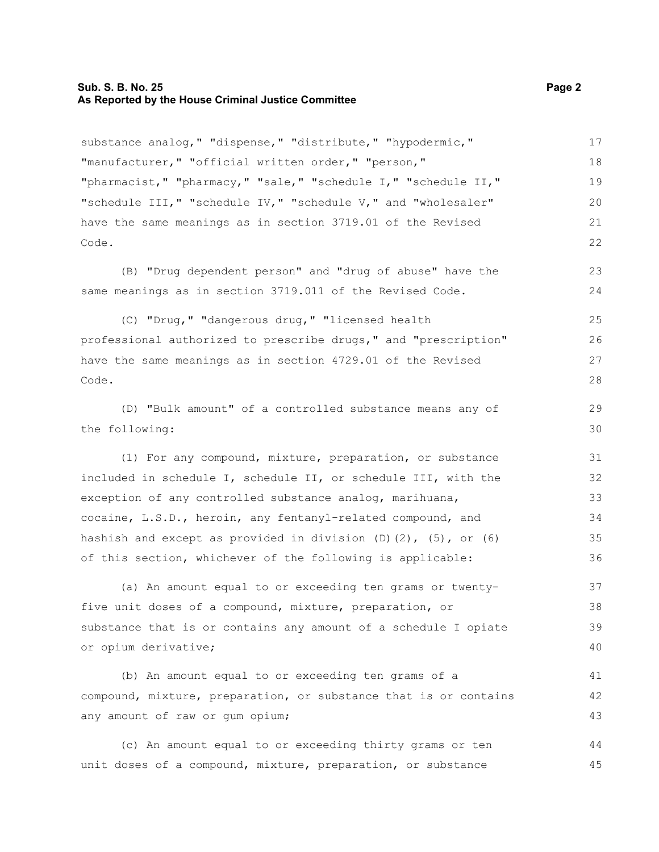#### **Sub. S. B. No. 25 Page 2 As Reported by the House Criminal Justice Committee**

substance analog," "dispense," "distribute," "hypodermic," "manufacturer," "official written order," "person," "pharmacist," "pharmacy," "sale," "schedule I," "schedule II," "schedule III," "schedule IV," "schedule V," and "wholesaler" have the same meanings as in section 3719.01 of the Revised Code. (B) "Drug dependent person" and "drug of abuse" have the same meanings as in section 3719.011 of the Revised Code. (C) "Drug," "dangerous drug," "licensed health professional authorized to prescribe drugs," and "prescription" have the same meanings as in section 4729.01 of the Revised Code. (D) "Bulk amount" of a controlled substance means any of the following: (1) For any compound, mixture, preparation, or substance included in schedule I, schedule II, or schedule III, with the exception of any controlled substance analog, marihuana, cocaine, L.S.D., heroin, any fentanyl-related compound, and hashish and except as provided in division  $(D)(2)$ ,  $(5)$ , or  $(6)$ of this section, whichever of the following is applicable: (a) An amount equal to or exceeding ten grams or twentyfive unit doses of a compound, mixture, preparation, or substance that is or contains any amount of a schedule I opiate or opium derivative; (b) An amount equal to or exceeding ten grams of a compound, mixture, preparation, or substance that is or contains any amount of raw or gum opium; (c) An amount equal to or exceeding thirty grams or ten unit doses of a compound, mixture, preparation, or substance 17 18 19 20 21 22 23 24 25 26 27 28 29 30 31 32 33 34 35 36 37 38 39 40 41 42 43 44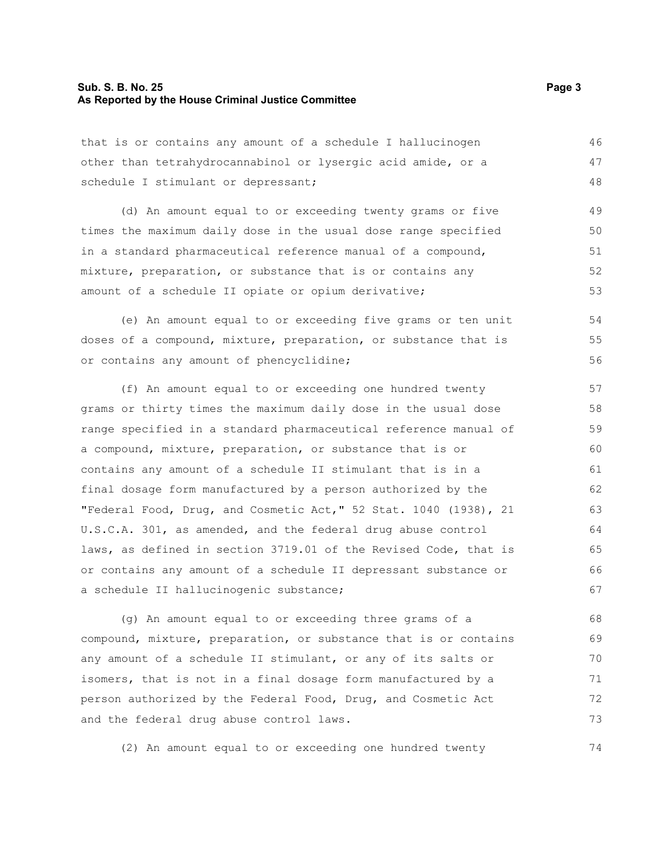#### **Sub. S. B. No. 25 Page 3 As Reported by the House Criminal Justice Committee**

that is or contains any amount of a schedule I hallucinogen other than tetrahydrocannabinol or lysergic acid amide, or a schedule I stimulant or depressant; 46 47 48

(d) An amount equal to or exceeding twenty grams or five times the maximum daily dose in the usual dose range specified in a standard pharmaceutical reference manual of a compound, mixture, preparation, or substance that is or contains any amount of a schedule II opiate or opium derivative; 49 50 51 52 53

(e) An amount equal to or exceeding five grams or ten unit doses of a compound, mixture, preparation, or substance that is or contains any amount of phencyclidine; 54 55 56

(f) An amount equal to or exceeding one hundred twenty grams or thirty times the maximum daily dose in the usual dose range specified in a standard pharmaceutical reference manual of a compound, mixture, preparation, or substance that is or contains any amount of a schedule II stimulant that is in a final dosage form manufactured by a person authorized by the "Federal Food, Drug, and Cosmetic Act," 52 Stat. 1040 (1938), 21 U.S.C.A. 301, as amended, and the federal drug abuse control laws, as defined in section 3719.01 of the Revised Code, that is or contains any amount of a schedule II depressant substance or a schedule II hallucinogenic substance; 57 58 59 60 61 62 63 64 65 66 67

(g) An amount equal to or exceeding three grams of a compound, mixture, preparation, or substance that is or contains any amount of a schedule II stimulant, or any of its salts or isomers, that is not in a final dosage form manufactured by a person authorized by the Federal Food, Drug, and Cosmetic Act and the federal drug abuse control laws. 68 69 70 71 72 73

(2) An amount equal to or exceeding one hundred twenty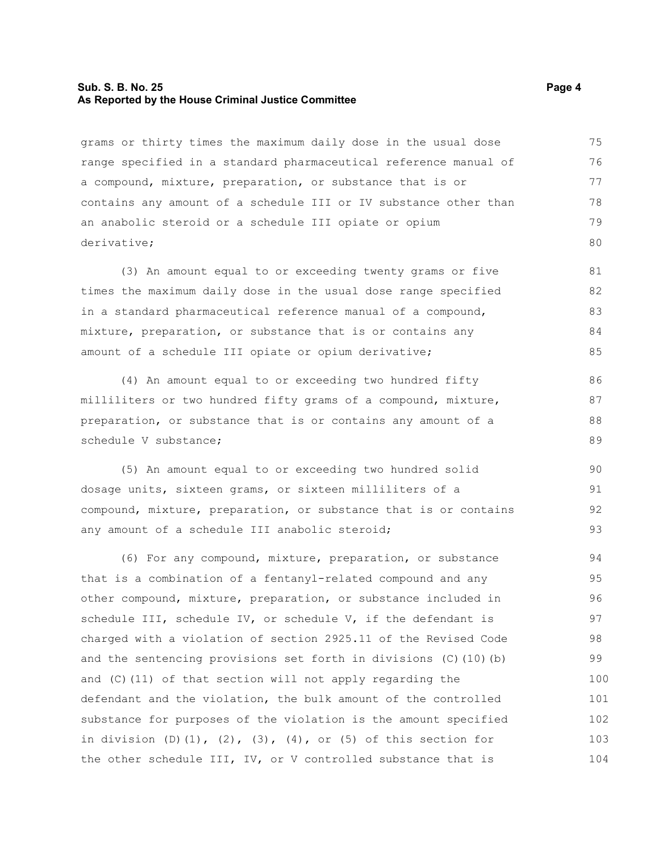#### **Sub. S. B. No. 25** Page 4 **As Reported by the House Criminal Justice Committee**

grams or thirty times the maximum daily dose in the usual dose range specified in a standard pharmaceutical reference manual of a compound, mixture, preparation, or substance that is or contains any amount of a schedule III or IV substance other than an anabolic steroid or a schedule III opiate or opium derivative; 75 76 77 78 79 80

(3) An amount equal to or exceeding twenty grams or five times the maximum daily dose in the usual dose range specified in a standard pharmaceutical reference manual of a compound, mixture, preparation, or substance that is or contains any amount of a schedule III opiate or opium derivative; 81 82 83 84 85

(4) An amount equal to or exceeding two hundred fifty milliliters or two hundred fifty grams of a compound, mixture, preparation, or substance that is or contains any amount of a schedule V substance; 86 87 88 89

(5) An amount equal to or exceeding two hundred solid dosage units, sixteen grams, or sixteen milliliters of a compound, mixture, preparation, or substance that is or contains any amount of a schedule III anabolic steroid;

(6) For any compound, mixture, preparation, or substance that is a combination of a fentanyl-related compound and any other compound, mixture, preparation, or substance included in schedule III, schedule IV, or schedule V, if the defendant is charged with a violation of section 2925.11 of the Revised Code and the sentencing provisions set forth in divisions (C)(10)(b) and (C)(11) of that section will not apply regarding the defendant and the violation, the bulk amount of the controlled substance for purposes of the violation is the amount specified in division  $(D)$   $(1)$ ,  $(2)$ ,  $(3)$ ,  $(4)$ , or  $(5)$  of this section for the other schedule III, IV, or V controlled substance that is 94 95 96 97 98 99 100 101 102 103 104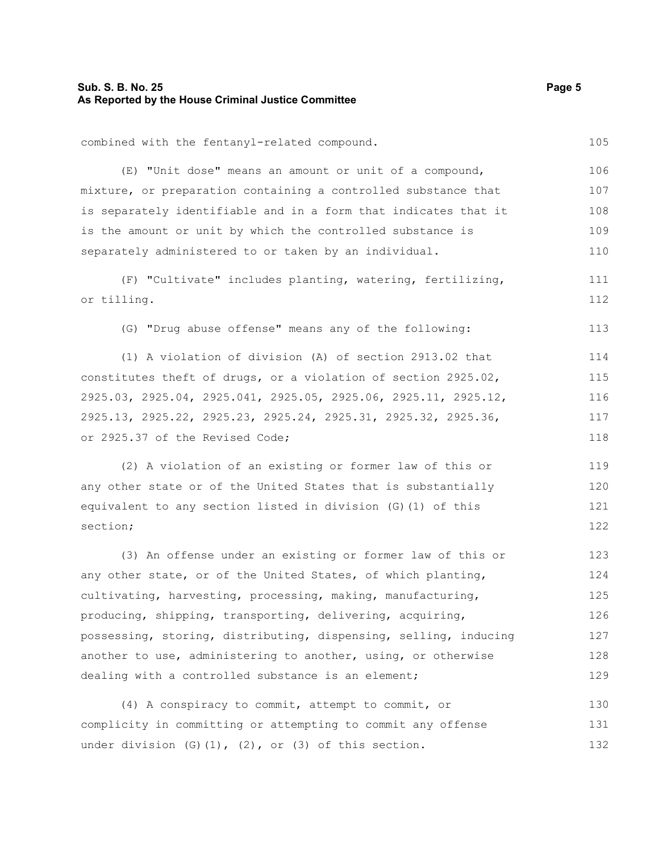combined with the fentanyl-related compound. (E) "Unit dose" means an amount or unit of a compound, mixture, or preparation containing a controlled substance that is separately identifiable and in a form that indicates that it is the amount or unit by which the controlled substance is separately administered to or taken by an individual. (F) "Cultivate" includes planting, watering, fertilizing, or tilling. (G) "Drug abuse offense" means any of the following: (1) A violation of division (A) of section 2913.02 that constitutes theft of drugs, or a violation of section 2925.02, 2925.03, 2925.04, 2925.041, 2925.05, 2925.06, 2925.11, 2925.12, 2925.13, 2925.22, 2925.23, 2925.24, 2925.31, 2925.32, 2925.36, 106 107 108 109 110 111 112 113 114 115 116 117

or 2925.37 of the Revised Code;

(2) A violation of an existing or former law of this or any other state or of the United States that is substantially equivalent to any section listed in division (G)(1) of this section; 119 120 121 122

(3) An offense under an existing or former law of this or any other state, or of the United States, of which planting, cultivating, harvesting, processing, making, manufacturing, producing, shipping, transporting, delivering, acquiring, possessing, storing, distributing, dispensing, selling, inducing another to use, administering to another, using, or otherwise dealing with a controlled substance is an element; 123 124 125 126 127 128 129

(4) A conspiracy to commit, attempt to commit, or complicity in committing or attempting to commit any offense under division  $(G)$ (1),  $(2)$ , or  $(3)$  of this section. 130 131 132

105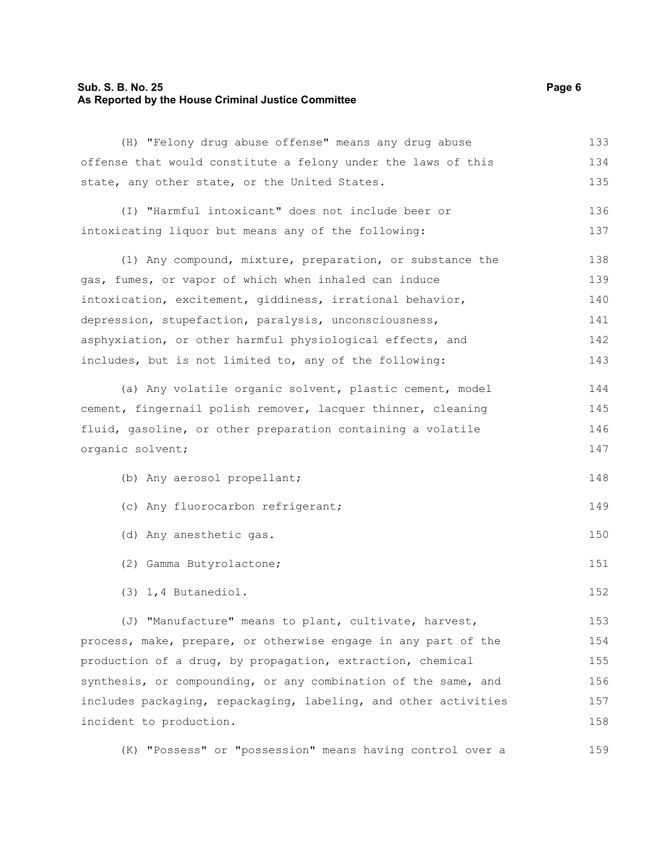#### **Sub. S. B. No. 25** Page 6 **As Reported by the House Criminal Justice Committee**

(H) "Felony drug abuse offense" means any drug abuse offense that would constitute a felony under the laws of this state, any other state, or the United States. 133 134 135

(I) "Harmful intoxicant" does not include beer or intoxicating liquor but means any of the following: 136 137

(1) Any compound, mixture, preparation, or substance the gas, fumes, or vapor of which when inhaled can induce intoxication, excitement, giddiness, irrational behavior, depression, stupefaction, paralysis, unconsciousness, asphyxiation, or other harmful physiological effects, and includes, but is not limited to, any of the following: 138 139 140 141 142 143

(a) Any volatile organic solvent, plastic cement, model cement, fingernail polish remover, lacquer thinner, cleaning fluid, gasoline, or other preparation containing a volatile organic solvent; 144 145 146 147

(b) Any aerosol propellant; 148

(c) Any fluorocarbon refrigerant; 149

(d) Any anesthetic gas.

(2) Gamma Butyrolactone; 151

(3) 1,4 Butanediol. 152

(J) "Manufacture" means to plant, cultivate, harvest, process, make, prepare, or otherwise engage in any part of the production of a drug, by propagation, extraction, chemical synthesis, or compounding, or any combination of the same, and includes packaging, repackaging, labeling, and other activities incident to production. 153 154 155 156 157 158

(K) "Possess" or "possession" means having control over a 159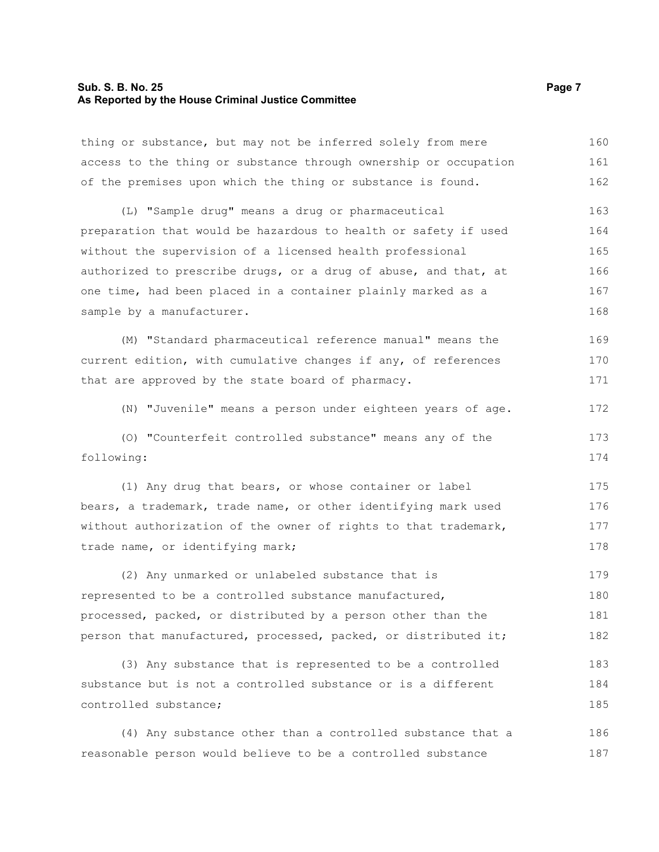#### **Sub. S. B. No. 25 Page 7 Page 7 Page 7 Page 7 Page 7 Page 7 Page 7 Page 7 Page 7 Page 7 Page 7 As Reported by the House Criminal Justice Committee**

thing or substance, but may not be inferred solely from mere access to the thing or substance through ownership or occupation of the premises upon which the thing or substance is found. 160 161 162

(L) "Sample drug" means a drug or pharmaceutical preparation that would be hazardous to health or safety if used without the supervision of a licensed health professional authorized to prescribe drugs, or a drug of abuse, and that, at one time, had been placed in a container plainly marked as a sample by a manufacturer. 163 164 165 166 167 168

(M) "Standard pharmaceutical reference manual" means the current edition, with cumulative changes if any, of references that are approved by the state board of pharmacy. 169 170 171

(N) "Juvenile" means a person under eighteen years of age. 172

(O) "Counterfeit controlled substance" means any of the following: 173 174

(1) Any drug that bears, or whose container or label bears, a trademark, trade name, or other identifying mark used without authorization of the owner of rights to that trademark, trade name, or identifying mark; 175 176 177 178

(2) Any unmarked or unlabeled substance that is represented to be a controlled substance manufactured, processed, packed, or distributed by a person other than the person that manufactured, processed, packed, or distributed it; 179 180 181 182

(3) Any substance that is represented to be a controlled substance but is not a controlled substance or is a different controlled substance; 183 184 185

(4) Any substance other than a controlled substance that a reasonable person would believe to be a controlled substance 186 187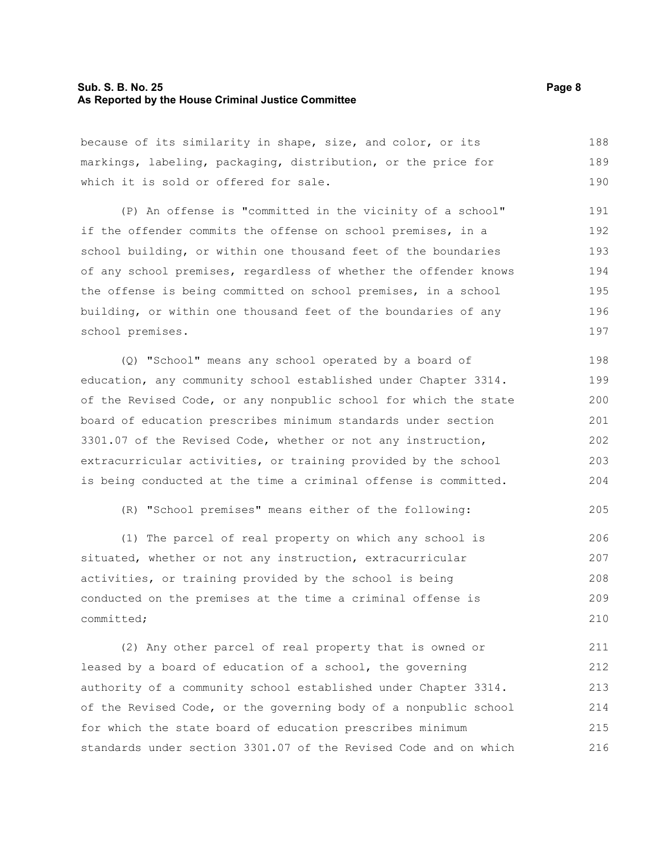#### **Sub. S. B. No. 25 Page 8 As Reported by the House Criminal Justice Committee**

because of its similarity in shape, size, and color, or its markings, labeling, packaging, distribution, or the price for which it is sold or offered for sale. 188 189 190

(P) An offense is "committed in the vicinity of a school" if the offender commits the offense on school premises, in a school building, or within one thousand feet of the boundaries of any school premises, regardless of whether the offender knows the offense is being committed on school premises, in a school building, or within one thousand feet of the boundaries of any school premises. 191 192 193 194 195 196 197

(Q) "School" means any school operated by a board of education, any community school established under Chapter 3314. of the Revised Code, or any nonpublic school for which the state board of education prescribes minimum standards under section 3301.07 of the Revised Code, whether or not any instruction, extracurricular activities, or training provided by the school is being conducted at the time a criminal offense is committed. 198 199 200 201 202 203 204

(R) "School premises" means either of the following:

(1) The parcel of real property on which any school is situated, whether or not any instruction, extracurricular activities, or training provided by the school is being conducted on the premises at the time a criminal offense is committed; 206 207 208 209 210

(2) Any other parcel of real property that is owned or leased by a board of education of a school, the governing authority of a community school established under Chapter 3314. of the Revised Code, or the governing body of a nonpublic school for which the state board of education prescribes minimum standards under section 3301.07 of the Revised Code and on which 211 212 213 214 215 216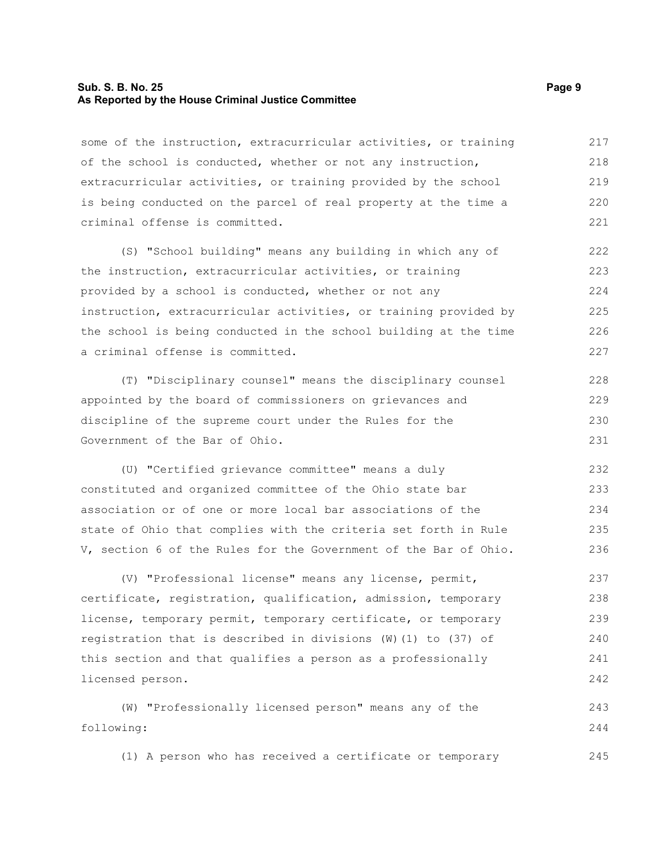#### **Sub. S. B. No. 25 Page 9 As Reported by the House Criminal Justice Committee**

some of the instruction, extracurricular activities, or training of the school is conducted, whether or not any instruction, extracurricular activities, or training provided by the school is being conducted on the parcel of real property at the time a criminal offense is committed. 217 218 219 220 221

(S) "School building" means any building in which any of the instruction, extracurricular activities, or training provided by a school is conducted, whether or not any instruction, extracurricular activities, or training provided by the school is being conducted in the school building at the time a criminal offense is committed.

(T) "Disciplinary counsel" means the disciplinary counsel appointed by the board of commissioners on grievances and discipline of the supreme court under the Rules for the Government of the Bar of Ohio. 228 229 230 231

(U) "Certified grievance committee" means a duly constituted and organized committee of the Ohio state bar association or of one or more local bar associations of the state of Ohio that complies with the criteria set forth in Rule V, section 6 of the Rules for the Government of the Bar of Ohio. 232 233 234 235 236

(V) "Professional license" means any license, permit, certificate, registration, qualification, admission, temporary license, temporary permit, temporary certificate, or temporary registration that is described in divisions  $(W)$  (1) to (37) of this section and that qualifies a person as a professionally licensed person. 237 238 239 240 241 242

(W) "Professionally licensed person" means any of the following: 243 244

(1) A person who has received a certificate or temporary 245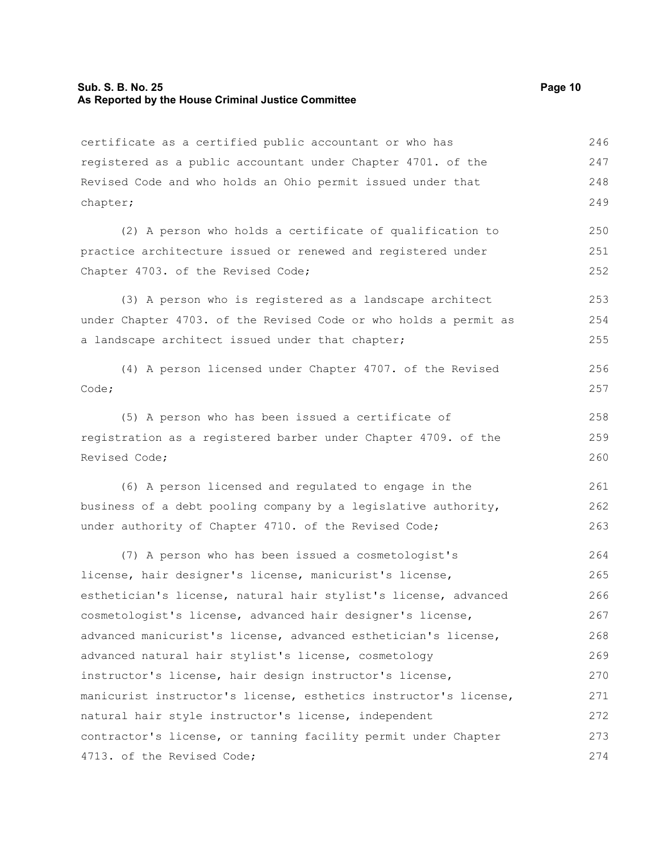certificate as a certified public accountant or who has registered as a public accountant under Chapter 4701. of the Revised Code and who holds an Ohio permit issued under that chapter; 246 247 248 249

(2) A person who holds a certificate of qualification to practice architecture issued or renewed and registered under Chapter 4703. of the Revised Code; 250 251 252

(3) A person who is registered as a landscape architect under Chapter 4703. of the Revised Code or who holds a permit as a landscape architect issued under that chapter; 253 254 255

(4) A person licensed under Chapter 4707. of the Revised Code; 256 257

(5) A person who has been issued a certificate of registration as a registered barber under Chapter 4709. of the Revised Code; 258 259 260

(6) A person licensed and regulated to engage in the business of a debt pooling company by a legislative authority, under authority of Chapter 4710. of the Revised Code; 261 262 263

(7) A person who has been issued a cosmetologist's license, hair designer's license, manicurist's license, esthetician's license, natural hair stylist's license, advanced cosmetologist's license, advanced hair designer's license, advanced manicurist's license, advanced esthetician's license, advanced natural hair stylist's license, cosmetology instructor's license, hair design instructor's license, manicurist instructor's license, esthetics instructor's license, natural hair style instructor's license, independent contractor's license, or tanning facility permit under Chapter 4713. of the Revised Code; 264 265 266 267 268 269 270 271 272 273 274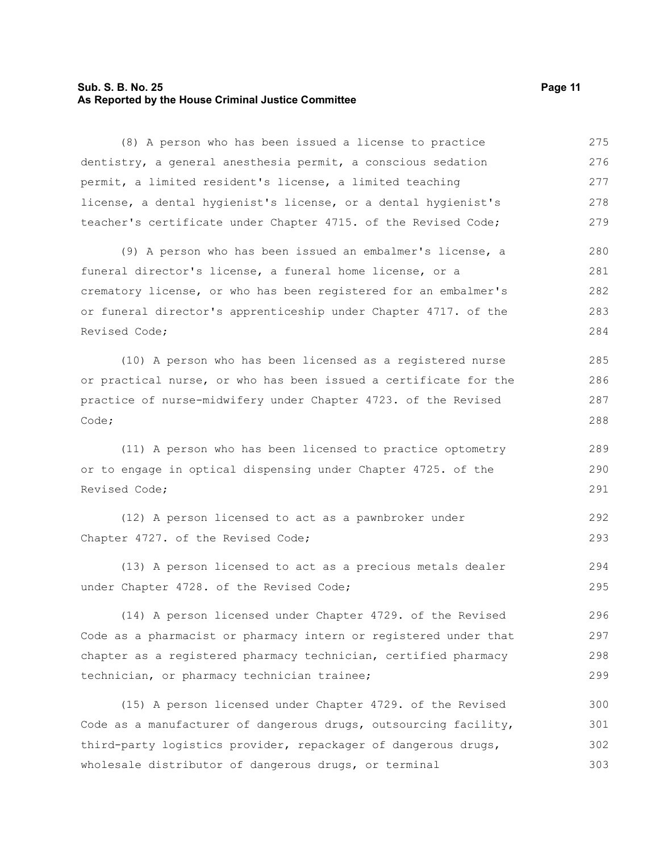#### **Sub. S. B. No. 25 Page 11 As Reported by the House Criminal Justice Committee**

(8) A person who has been issued a license to practice dentistry, a general anesthesia permit, a conscious sedation permit, a limited resident's license, a limited teaching license, a dental hygienist's license, or a dental hygienist's teacher's certificate under Chapter 4715. of the Revised Code; (9) A person who has been issued an embalmer's license, a funeral director's license, a funeral home license, or a crematory license, or who has been registered for an embalmer's or funeral director's apprenticeship under Chapter 4717. of the Revised Code; (10) A person who has been licensed as a registered nurse or practical nurse, or who has been issued a certificate for the practice of nurse-midwifery under Chapter 4723. of the Revised Code; (11) A person who has been licensed to practice optometry or to engage in optical dispensing under Chapter 4725. of the Revised Code; (12) A person licensed to act as a pawnbroker under Chapter 4727. of the Revised Code; (13) A person licensed to act as a precious metals dealer under Chapter 4728. of the Revised Code; (14) A person licensed under Chapter 4729. of the Revised Code as a pharmacist or pharmacy intern or registered under that chapter as a registered pharmacy technician, certified pharmacy technician, or pharmacy technician trainee; (15) A person licensed under Chapter 4729. of the Revised Code as a manufacturer of dangerous drugs, outsourcing facility, third-party logistics provider, repackager of dangerous drugs, wholesale distributor of dangerous drugs, or terminal 275 276 277 278 279 280 281 282 283 284 285 286 287 288 289 290 291 292 293 294 295 296 297 298 299 300 301 302 303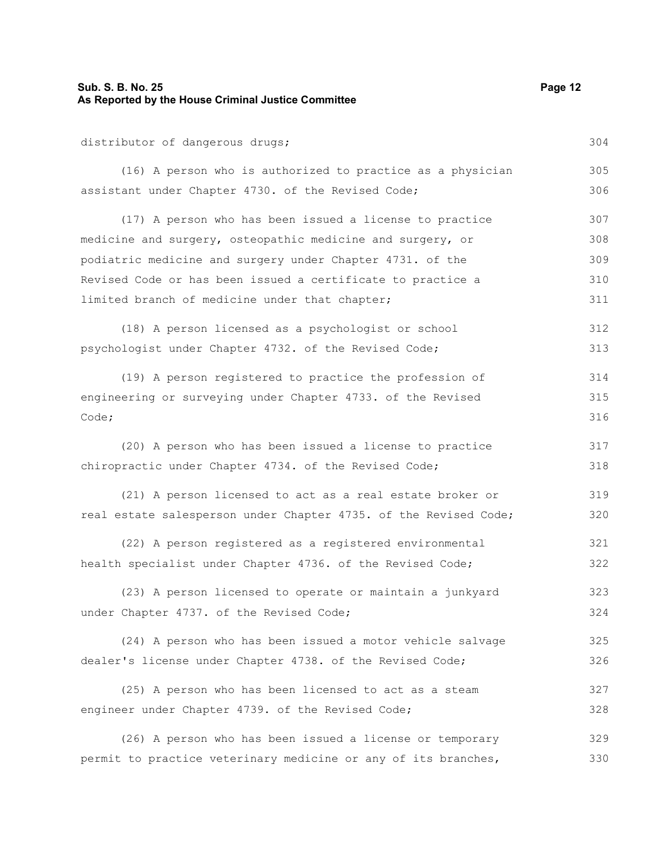#### **Sub. S. B. No. 25 Page 12 As Reported by the House Criminal Justice Committee**

distributor of dangerous drugs;

|                                                    |  |  |  |  | (16) A person who is authorized to practice as a physician | 305 |
|----------------------------------------------------|--|--|--|--|------------------------------------------------------------|-----|
| assistant under Chapter 4730. of the Revised Code; |  |  |  |  |                                                            | 306 |

(17) A person who has been issued a license to practice medicine and surgery, osteopathic medicine and surgery, or podiatric medicine and surgery under Chapter 4731. of the Revised Code or has been issued a certificate to practice a limited branch of medicine under that chapter; 307 308 309 310 311

(18) A person licensed as a psychologist or school psychologist under Chapter 4732. of the Revised Code; 312 313

(19) A person registered to practice the profession of engineering or surveying under Chapter 4733. of the Revised Code; 314 315 316

(20) A person who has been issued a license to practice chiropractic under Chapter 4734. of the Revised Code; 317 318

(21) A person licensed to act as a real estate broker or real estate salesperson under Chapter 4735. of the Revised Code; 319 320

(22) A person registered as a registered environmental health specialist under Chapter 4736. of the Revised Code; 321 322

(23) A person licensed to operate or maintain a junkyard under Chapter 4737. of the Revised Code; 323 324

(24) A person who has been issued a motor vehicle salvage dealer's license under Chapter 4738. of the Revised Code; 325 326

(25) A person who has been licensed to act as a steam engineer under Chapter 4739. of the Revised Code; 327 328

(26) A person who has been issued a license or temporary permit to practice veterinary medicine or any of its branches, 329 330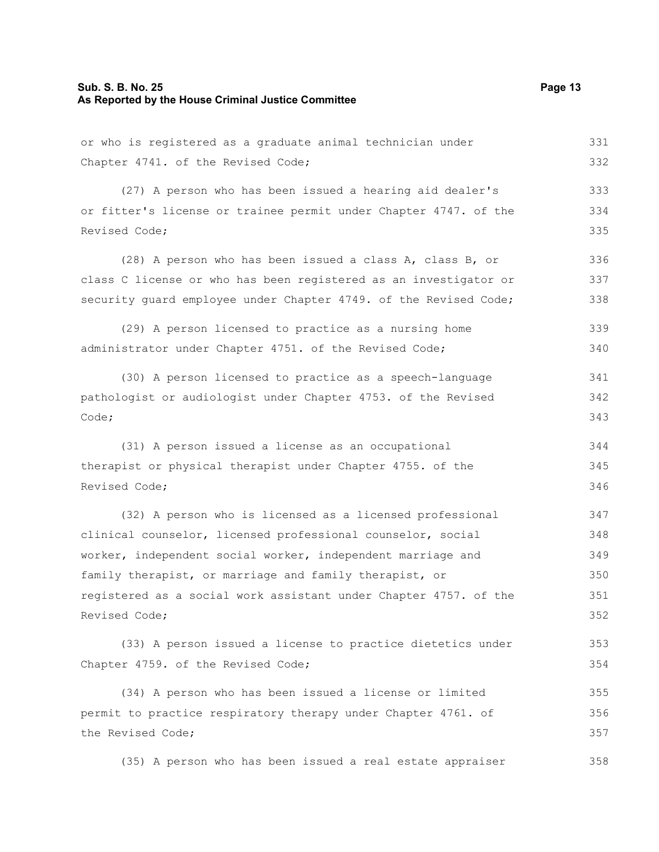#### **Sub. S. B. No. 25 Page 13 As Reported by the House Criminal Justice Committee**

or who is registered as a graduate animal technician under Chapter 4741. of the Revised Code;

(27) A person who has been issued a hearing aid dealer's or fitter's license or trainee permit under Chapter 4747. of the Revised Code; 333 334 335

(28) A person who has been issued a class A, class B, or class C license or who has been registered as an investigator or security guard employee under Chapter 4749. of the Revised Code; 336 337 338

(29) A person licensed to practice as a nursing home administrator under Chapter 4751. of the Revised Code; 339 340

(30) A person licensed to practice as a speech-language pathologist or audiologist under Chapter 4753. of the Revised Code; 341 342 343

(31) A person issued a license as an occupational therapist or physical therapist under Chapter 4755. of the Revised Code; 344 345 346

(32) A person who is licensed as a licensed professional clinical counselor, licensed professional counselor, social worker, independent social worker, independent marriage and family therapist, or marriage and family therapist, or registered as a social work assistant under Chapter 4757. of the Revised Code; 347 348 349 350 351 352

(33) A person issued a license to practice dietetics under Chapter 4759. of the Revised Code;

(34) A person who has been issued a license or limited permit to practice respiratory therapy under Chapter 4761. of the Revised Code; 355 356 357

(35) A person who has been issued a real estate appraiser 358

331 332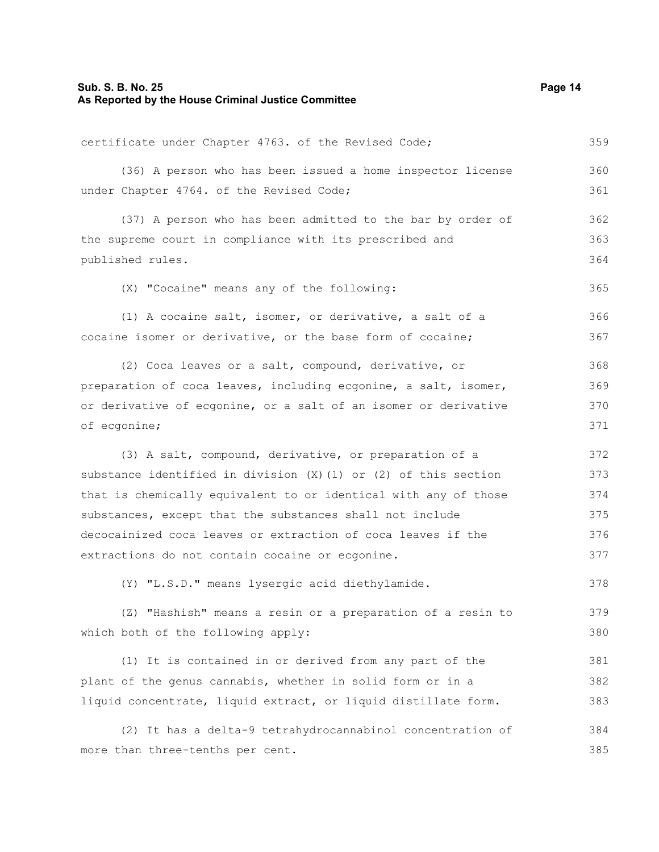#### **Sub. S. B. No. 25 Page 14 As Reported by the House Criminal Justice Committee**

certificate under Chapter 4763. of the Revised Code;

(36) A person who has been issued a home inspector license under Chapter 4764. of the Revised Code; (37) A person who has been admitted to the bar by order of the supreme court in compliance with its prescribed and published rules. (X) "Cocaine" means any of the following: (1) A cocaine salt, isomer, or derivative, a salt of a cocaine isomer or derivative, or the base form of cocaine; (2) Coca leaves or a salt, compound, derivative, or preparation of coca leaves, including ecgonine, a salt, isomer, or derivative of ecgonine, or a salt of an isomer or derivative of ecgonine; (3) A salt, compound, derivative, or preparation of a substance identified in division (X)(1) or (2) of this section that is chemically equivalent to or identical with any of those substances, except that the substances shall not include decocainized coca leaves or extraction of coca leaves if the extractions do not contain cocaine or ecgonine. (Y) "L.S.D." means lysergic acid diethylamide. (Z) "Hashish" means a resin or a preparation of a resin to which both of the following apply: (1) It is contained in or derived from any part of the plant of the genus cannabis, whether in solid form or in a liquid concentrate, liquid extract, or liquid distillate form. (2) It has a delta-9 tetrahydrocannabinol concentration of more than three-tenths per cent. 360 361 362 363 364 365 366 367 368 369 370 371 372 373 374 375 376 377 378 379 380 381 382 383 384 385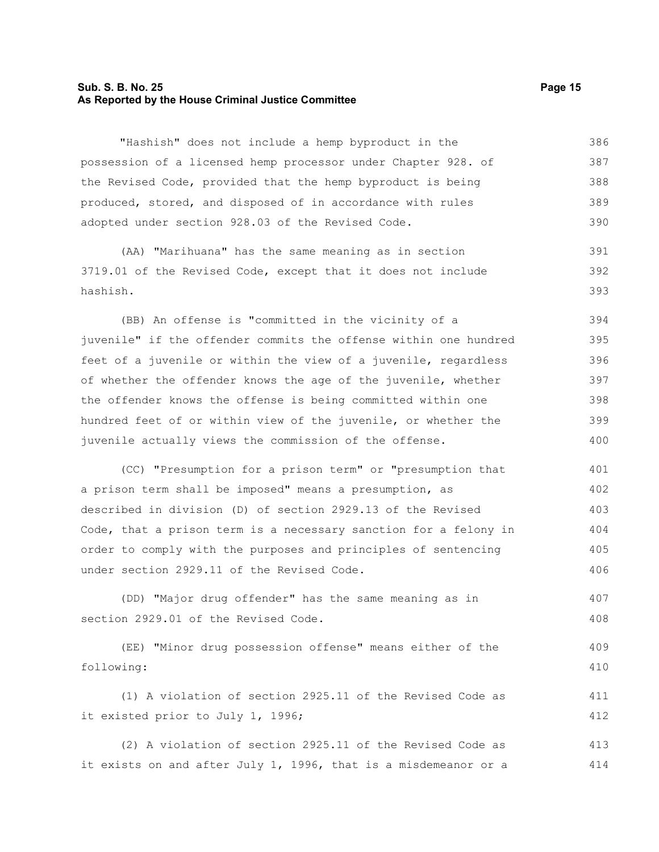#### **Sub. S. B. No. 25 Page 15 As Reported by the House Criminal Justice Committee**

"Hashish" does not include a hemp byproduct in the possession of a licensed hemp processor under Chapter 928. of the Revised Code, provided that the hemp byproduct is being produced, stored, and disposed of in accordance with rules adopted under section 928.03 of the Revised Code. 386 387 388 389 390

(AA) "Marihuana" has the same meaning as in section 3719.01 of the Revised Code, except that it does not include hashish. 391 392 393

(BB) An offense is "committed in the vicinity of a juvenile" if the offender commits the offense within one hundred feet of a juvenile or within the view of a juvenile, regardless of whether the offender knows the age of the juvenile, whether the offender knows the offense is being committed within one hundred feet of or within view of the juvenile, or whether the juvenile actually views the commission of the offense. 394 395 396 397 398 399 400

(CC) "Presumption for a prison term" or "presumption that a prison term shall be imposed" means a presumption, as described in division (D) of section 2929.13 of the Revised Code, that a prison term is a necessary sanction for a felony in order to comply with the purposes and principles of sentencing under section 2929.11 of the Revised Code. 401 402 403 404 405 406

(DD) "Major drug offender" has the same meaning as in section 2929.01 of the Revised Code. 407 408

(EE) "Minor drug possession offense" means either of the following: 409 410

(1) A violation of section 2925.11 of the Revised Code as it existed prior to July 1, 1996; 411 412

(2) A violation of section 2925.11 of the Revised Code as it exists on and after July 1, 1996, that is a misdemeanor or a 413 414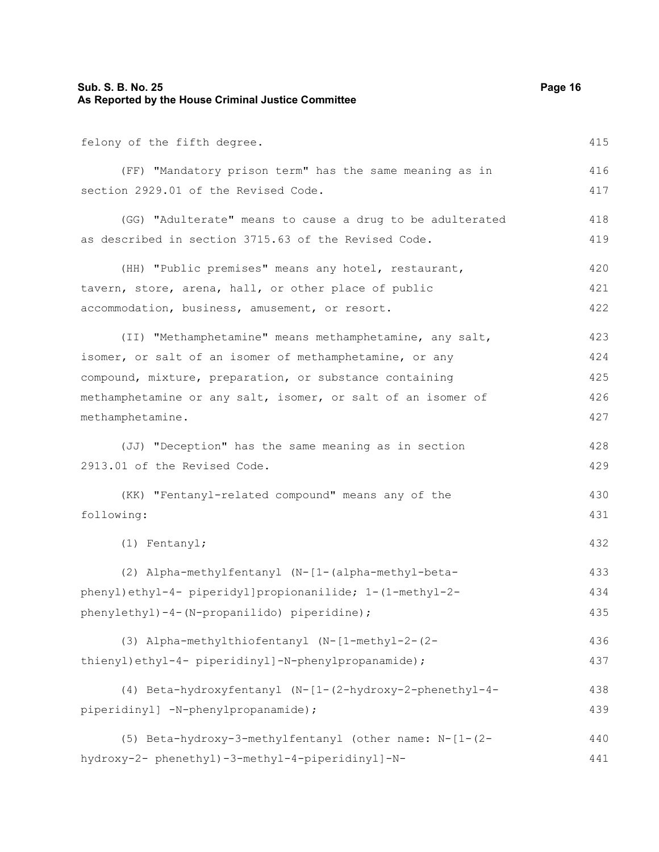#### **Sub. S. B. No. 25 Page 16 As Reported by the House Criminal Justice Committee** felony of the fifth degree. (FF) "Mandatory prison term" has the same meaning as in section 2929.01 of the Revised Code. (GG) "Adulterate" means to cause a drug to be adulterated as described in section 3715.63 of the Revised Code. (HH) "Public premises" means any hotel, restaurant, tavern, store, arena, hall, or other place of public accommodation, business, amusement, or resort. (II) "Methamphetamine" means methamphetamine, any salt, isomer, or salt of an isomer of methamphetamine, or any compound, mixture, preparation, or substance containing methamphetamine or any salt, isomer, or salt of an isomer of methamphetamine. (JJ) "Deception" has the same meaning as in section 2913.01 of the Revised Code. (KK) "Fentanyl-related compound" means any of the following: (1) Fentanyl; (2) Alpha-methylfentanyl (N-[1-(alpha-methyl-betaphenyl)ethyl-4- piperidyl]propionanilide; 1-(1-methyl-2 phenylethyl)-4-(N-propanilido) piperidine); (3) Alpha-methylthiofentanyl (N-[1-methyl-2-(2 thienyl)ethyl-4- piperidinyl]-N-phenylpropanamide); (4) Beta-hydroxyfentanyl (N-[1-(2-hydroxy-2-phenethyl-4 piperidinyl] -N-phenylpropanamide); (5) Beta-hydroxy-3-methylfentanyl (other name: N-[1-(2 hydroxy-2- phenethyl)-3-methyl-4-piperidinyl]-N-415 416 417 418 419 420 421 422 423 424 425 426 427 428 429 430 431 432 433 434 435 436 437 438 439 440 441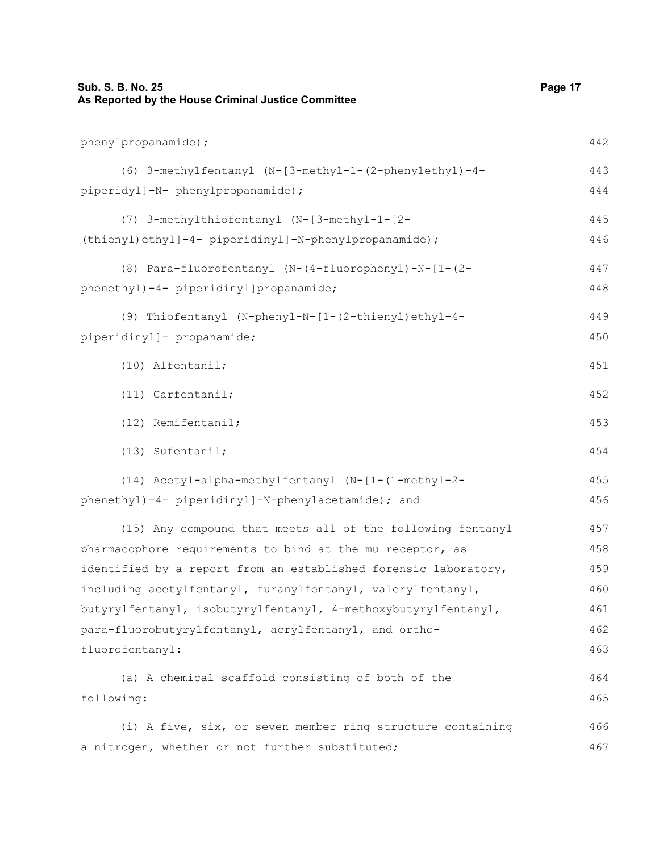| Sub. S. B. No. 25<br>As Reported by the House Criminal Justice Committee | Page 17 |
|--------------------------------------------------------------------------|---------|
| phenylpropanamide);                                                      | 442     |
| (6) 3-methylfentanyl (N-[3-methyl-1-(2-phenylethyl)-4-                   | 443     |
| piperidyl]-N- phenylpropanamide);                                        | 444     |
| (7) 3-methylthiofentanyl (N-[3-methyl-1-[2-                              | 445     |
| (thienyl)ethyl]-4- piperidinyl]-N-phenylpropanamide);                    | 446     |
| (8) Para-fluorofentanyl (N-(4-fluorophenyl)-N-[1-(2-                     | 447     |
| phenethyl)-4- piperidinyl]propanamide;                                   | 448     |
| (9) Thiofentanyl (N-phenyl-N-[1-(2-thienyl)ethyl-4-                      | 449     |
| piperidinyl]- propanamide;                                               | 450     |
| (10) Alfentanil;                                                         | 451     |
| (11) Carfentanil;                                                        | 452     |
| (12) Remifentanil;                                                       | 453     |
| (13) Sufentanil;                                                         | 454     |
| (14) Acetyl-alpha-methylfentanyl (N-[1-(1-methyl-2-                      | 455     |
| phenethyl)-4- piperidinyl]-N-phenylacetamide); and                       | 456     |
| (15) Any compound that meets all of the following fentanyl               | 457     |
| pharmacophore requirements to bind at the mu receptor, as                | 458     |
| identified by a report from an established forensic laboratory,          | 459     |
| including acetylfentanyl, furanylfentanyl, valerylfentanyl,              | 460     |
| butyrylfentanyl, isobutyrylfentanyl, 4-methoxybutyrylfentanyl,           | 461     |
| para-fluorobutyrylfentanyl, acrylfentanyl, and ortho-                    | 462     |
| fluorofentanyl:                                                          | 463     |
| (a) A chemical scaffold consisting of both of the                        | 464     |
| following:                                                               | 465     |
| (i) A five, six, or seven member ring structure containing               | 466     |
| a nitrogen, whether or not further substituted;                          | 467     |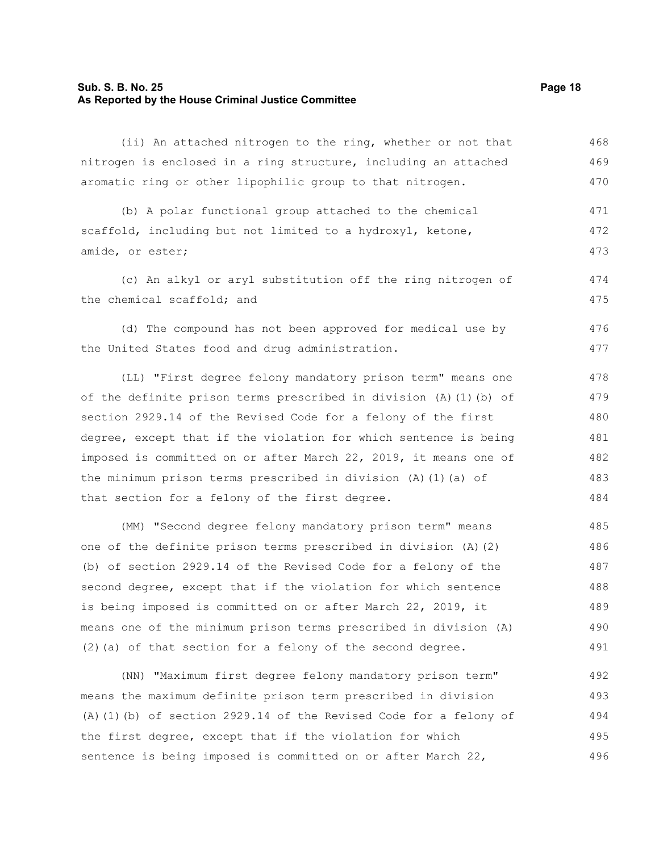#### **Sub. S. B. No. 25 Page 18 As Reported by the House Criminal Justice Committee**

(ii) An attached nitrogen to the ring, whether or not that nitrogen is enclosed in a ring structure, including an attached aromatic ring or other lipophilic group to that nitrogen. 468 469 470

(b) A polar functional group attached to the chemical scaffold, including but not limited to a hydroxyl, ketone, amide, or ester; 471 472 473

(c) An alkyl or aryl substitution off the ring nitrogen of the chemical scaffold; and 474 475

(d) The compound has not been approved for medical use by the United States food and drug administration. 476 477

(LL) "First degree felony mandatory prison term" means one of the definite prison terms prescribed in division  $(A)$   $(1)$   $(b)$  of section 2929.14 of the Revised Code for a felony of the first degree, except that if the violation for which sentence is being imposed is committed on or after March 22, 2019, it means one of the minimum prison terms prescribed in division (A)(1)(a) of that section for a felony of the first degree. 478 479 480 481 482 483 484

(MM) "Second degree felony mandatory prison term" means one of the definite prison terms prescribed in division (A)(2) (b) of section 2929.14 of the Revised Code for a felony of the second degree, except that if the violation for which sentence is being imposed is committed on or after March 22, 2019, it means one of the minimum prison terms prescribed in division (A) (2)(a) of that section for a felony of the second degree. 485 486 487 488 489 490 491

(NN) "Maximum first degree felony mandatory prison term" means the maximum definite prison term prescribed in division (A)(1)(b) of section 2929.14 of the Revised Code for a felony of the first degree, except that if the violation for which sentence is being imposed is committed on or after March 22, 492 493 494 495 496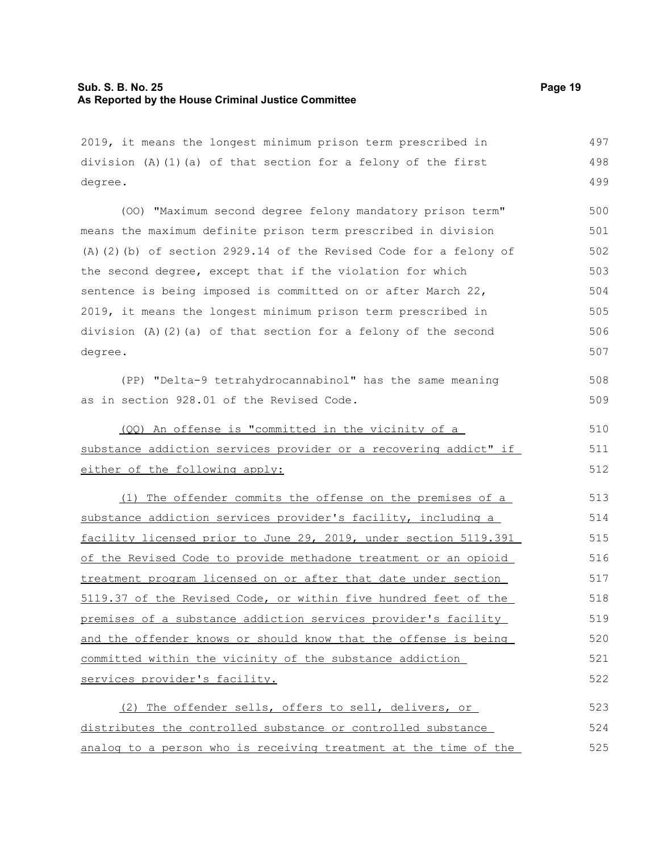#### **Sub. S. B. No. 25 Page 19 As Reported by the House Criminal Justice Committee**

2019, it means the longest minimum prison term prescribed in division (A)(1)(a) of that section for a felony of the first degree. 497 498 499

(OO) "Maximum second degree felony mandatory prison term" means the maximum definite prison term prescribed in division (A)(2)(b) of section 2929.14 of the Revised Code for a felony of the second degree, except that if the violation for which sentence is being imposed is committed on or after March 22, 2019, it means the longest minimum prison term prescribed in division (A)(2)(a) of that section for a felony of the second degree. 500 501 502 503 504 505 506 507

(PP) "Delta-9 tetrahydrocannabinol" has the same meaning as in section 928.01 of the Revised Code.

(QQ) An offense is "committed in the vicinity of a substance addiction services provider or a recovering addict" if either of the following apply: 510 511 512

(1) The offender commits the offense on the premises of a substance addiction services provider's facility, including a facility licensed prior to June 29, 2019, under section 5119.391 of the Revised Code to provide methadone treatment or an opioid treatment program licensed on or after that date under section 5119.37 of the Revised Code, or within five hundred feet of the premises of a substance addiction services provider's facility and the offender knows or should know that the offense is being committed within the vicinity of the substance addiction services provider's facility. 513 514 515 516 517 518 519 520 521 522

(2) The offender sells, offers to sell, delivers, or distributes the controlled substance or controlled substance analog to a person who is receiving treatment at the time of the 523 524 525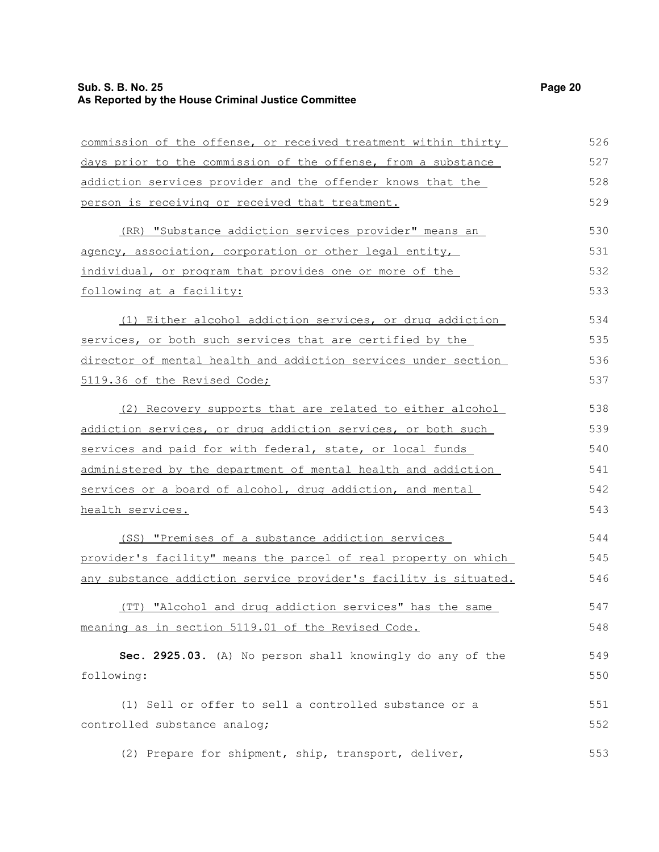### **Sub. S. B. No. 25 Page 20 As Reported by the House Criminal Justice Committee**

| commission of the offense, or received treatment within thirty   | 526 |
|------------------------------------------------------------------|-----|
| days prior to the commission of the offense, from a substance    | 527 |
| addiction services provider and the offender knows that the      | 528 |
| person is receiving or received that treatment.                  | 529 |
| (RR) "Substance addiction services provider" means an            | 530 |
| agency, association, corporation or other legal entity,          | 531 |
| individual, or program that provides one or more of the          | 532 |
| following at a facility:                                         | 533 |
| (1) Either alcohol addiction services, or drug addiction         | 534 |
| services, or both such services that are certified by the        | 535 |
| director of mental health and addiction services under section   | 536 |
| 5119.36 of the Revised Code;                                     | 537 |
| (2) Recovery supports that are related to either alcohol         | 538 |
| addiction services, or drug addiction services, or both such     | 539 |
| services and paid for with federal, state, or local funds        | 540 |
| administered by the department of mental health and addiction    | 541 |
| services or a board of alcohol, drug addiction, and mental       | 542 |
| health services.                                                 | 543 |
| (SS) "Premises of a substance addiction services                 | 544 |
| provider's facility" means the parcel of real property on which  | 545 |
| any substance addiction service provider's facility is situated. | 546 |
| "Alcohol and drug addiction services" has the same<br>(TT)       | 547 |
| meaning as in section 5119.01 of the Revised Code.               | 548 |
| Sec. 2925.03. (A) No person shall knowingly do any of the        | 549 |
| following:                                                       | 550 |
| (1) Sell or offer to sell a controlled substance or a            | 551 |
| controlled substance analog;                                     | 552 |
| (2) Prepare for shipment, ship, transport, deliver,              | 553 |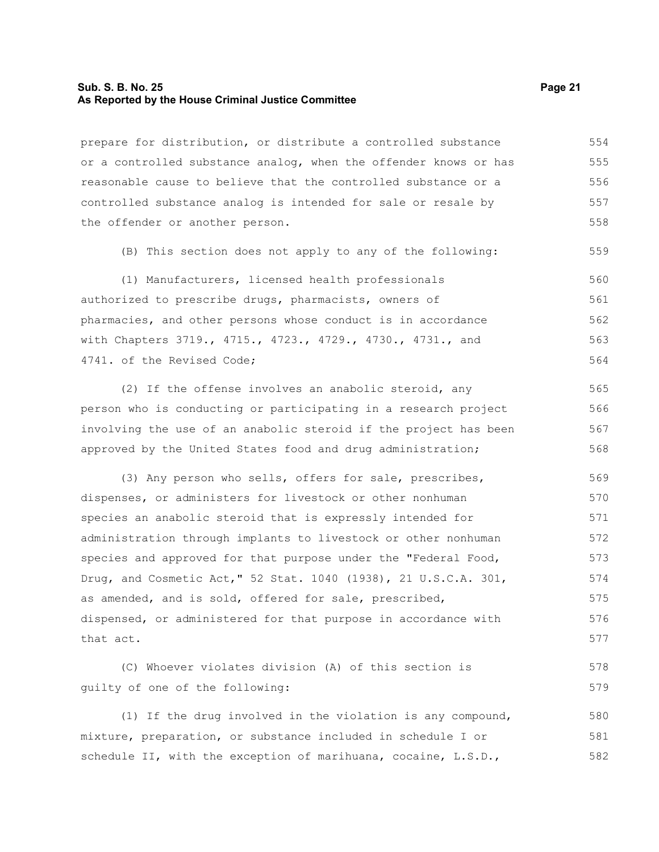#### **Sub. S. B. No. 25 Page 21 As Reported by the House Criminal Justice Committee**

prepare for distribution, or distribute a controlled substance or a controlled substance analog, when the offender knows or has reasonable cause to believe that the controlled substance or a controlled substance analog is intended for sale or resale by the offender or another person. 554 555 556 557 558

(B) This section does not apply to any of the following:

(1) Manufacturers, licensed health professionals authorized to prescribe drugs, pharmacists, owners of pharmacies, and other persons whose conduct is in accordance with Chapters 3719., 4715., 4723., 4729., 4730., 4731., and 4741. of the Revised Code; 560 561 562 563 564

(2) If the offense involves an anabolic steroid, any person who is conducting or participating in a research project involving the use of an anabolic steroid if the project has been approved by the United States food and drug administration;

(3) Any person who sells, offers for sale, prescribes, dispenses, or administers for livestock or other nonhuman species an anabolic steroid that is expressly intended for administration through implants to livestock or other nonhuman species and approved for that purpose under the "Federal Food, Drug, and Cosmetic Act," 52 Stat. 1040 (1938), 21 U.S.C.A. 301, as amended, and is sold, offered for sale, prescribed, dispensed, or administered for that purpose in accordance with that act. 569 570 571 572 573 574 575 576 577

(C) Whoever violates division (A) of this section is guilty of one of the following: 578 579

(1) If the drug involved in the violation is any compound, mixture, preparation, or substance included in schedule I or schedule II, with the exception of marihuana, cocaine, L.S.D., 580 581 582

559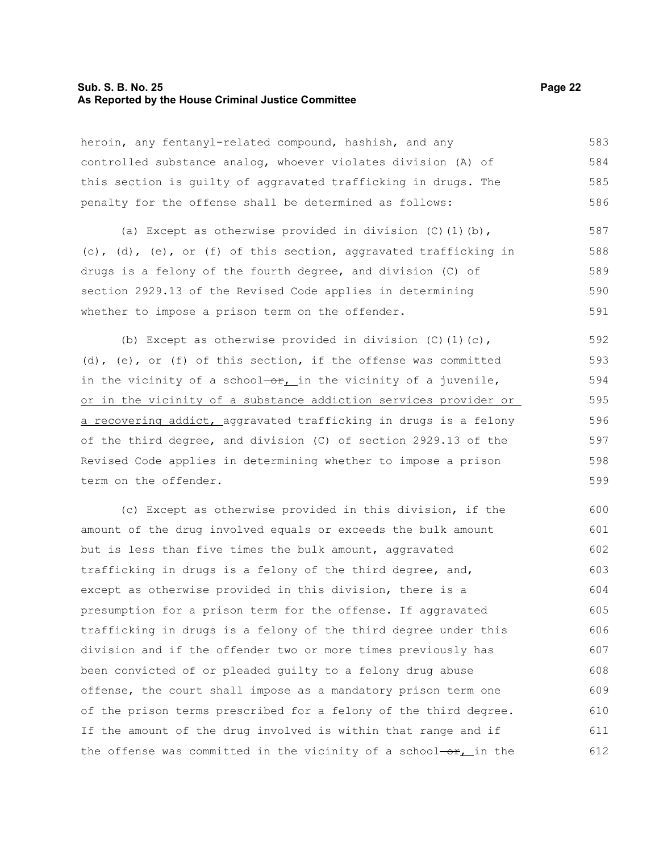#### **Sub. S. B. No. 25 Page 22 As Reported by the House Criminal Justice Committee**

heroin, any fentanyl-related compound, hashish, and any controlled substance analog, whoever violates division (A) of this section is guilty of aggravated trafficking in drugs. The penalty for the offense shall be determined as follows: 583 584 585 586

(a) Except as otherwise provided in division (C)(1)(b), (c), (d), (e), or (f) of this section, aggravated trafficking in drugs is a felony of the fourth degree, and division (C) of section 2929.13 of the Revised Code applies in determining whether to impose a prison term on the offender. 587 588 589 590 591

(b) Except as otherwise provided in division  $(C)$  (1)(c), (d), (e), or (f) of this section, if the offense was committed in the vicinity of a school– $\Theta$ ; in the vicinity of a juvenile, or in the vicinity of a substance addiction services provider or a recovering addict, aggravated trafficking in drugs is a felony of the third degree, and division (C) of section 2929.13 of the Revised Code applies in determining whether to impose a prison term on the offender.

(c) Except as otherwise provided in this division, if the amount of the drug involved equals or exceeds the bulk amount but is less than five times the bulk amount, aggravated trafficking in drugs is a felony of the third degree, and, except as otherwise provided in this division, there is a presumption for a prison term for the offense. If aggravated trafficking in drugs is a felony of the third degree under this division and if the offender two or more times previously has been convicted of or pleaded guilty to a felony drug abuse offense, the court shall impose as a mandatory prison term one of the prison terms prescribed for a felony of the third degree. If the amount of the drug involved is within that range and if the offense was committed in the vicinity of a school- $\Theta_{r}$  in the 600 601 602 603 604 605 606 607 608 609 610 611 612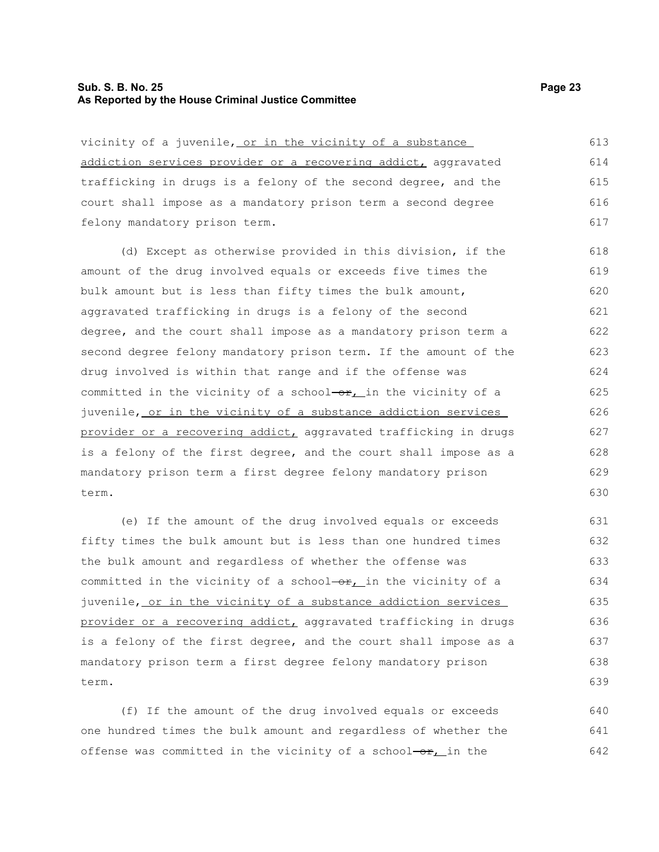#### **Sub. S. B. No. 25 Page 23 As Reported by the House Criminal Justice Committee**

vicinity of a juvenile, or in the vicinity of a substance addiction services provider or a recovering addict, aggravated trafficking in drugs is a felony of the second degree, and the court shall impose as a mandatory prison term a second degree felony mandatory prison term. (d) Except as otherwise provided in this division, if the amount of the drug involved equals or exceeds five times the bulk amount but is less than fifty times the bulk amount, aggravated trafficking in drugs is a felony of the second degree, and the court shall impose as a mandatory prison term a second degree felony mandatory prison term. If the amount of the

drug involved is within that range and if the offense was

committed in the vicinity of a school- $\Theta$ . in the vicinity of a juvenile, or in the vicinity of a substance addiction services provider or a recovering addict, aggravated trafficking in drugs is a felony of the first degree, and the court shall impose as a

mandatory prison term a first degree felony mandatory prison

term. (e) If the amount of the drug involved equals or exceeds fifty times the bulk amount but is less than one hundred times the bulk amount and regardless of whether the offense was committed in the vicinity of a school-or, in the vicinity of a juvenile, or in the vicinity of a substance addiction services provider or a recovering addict, aggravated trafficking in drugs is a felony of the first degree, and the court shall impose as a mandatory prison term a first degree felony mandatory prison term.

(f) If the amount of the drug involved equals or exceeds one hundred times the bulk amount and regardless of whether the offense was committed in the vicinity of a school-or, in the 640 641 642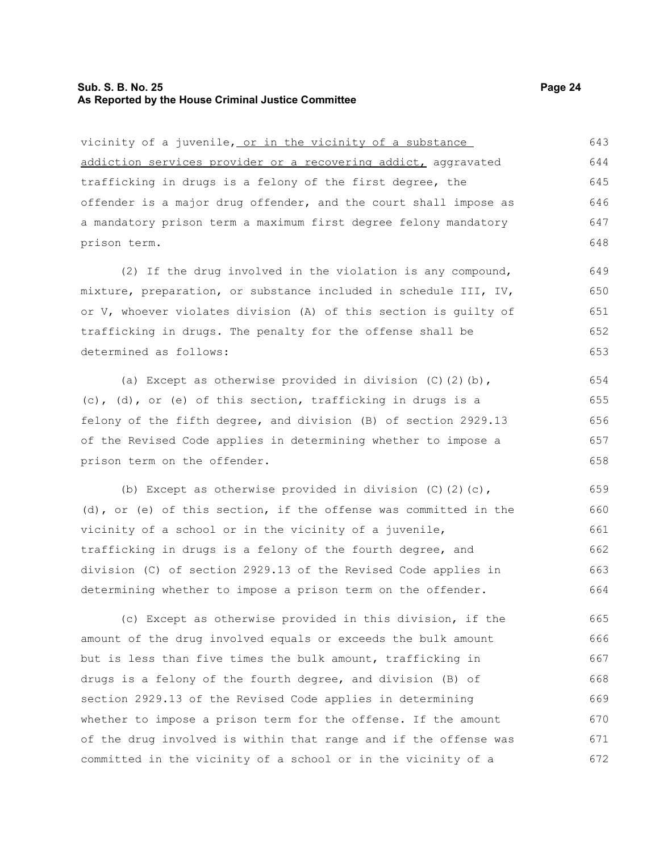#### **Sub. S. B. No. 25 Page 24 As Reported by the House Criminal Justice Committee**

vicinity of a juvenile, or in the vicinity of a substance addiction services provider or a recovering addict, aggravated trafficking in drugs is a felony of the first degree, the offender is a major drug offender, and the court shall impose as a mandatory prison term a maximum first degree felony mandatory prison term. 643 644 645 646 647 648

(2) If the drug involved in the violation is any compound, mixture, preparation, or substance included in schedule III, IV, or V, whoever violates division (A) of this section is guilty of trafficking in drugs. The penalty for the offense shall be determined as follows:

(a) Except as otherwise provided in division  $(C)$   $(2)$   $(b)$ , (c), (d), or (e) of this section, trafficking in drugs is a felony of the fifth degree, and division (B) of section 2929.13 of the Revised Code applies in determining whether to impose a prison term on the offender. 654 655 656 657 658

(b) Except as otherwise provided in division (C)(2)(c), (d), or (e) of this section, if the offense was committed in the vicinity of a school or in the vicinity of a juvenile, trafficking in drugs is a felony of the fourth degree, and division (C) of section 2929.13 of the Revised Code applies in determining whether to impose a prison term on the offender. 659 660 661 662 663 664

(c) Except as otherwise provided in this division, if the amount of the drug involved equals or exceeds the bulk amount but is less than five times the bulk amount, trafficking in drugs is a felony of the fourth degree, and division (B) of section 2929.13 of the Revised Code applies in determining whether to impose a prison term for the offense. If the amount of the drug involved is within that range and if the offense was committed in the vicinity of a school or in the vicinity of a 665 666 667 668 669 670 671 672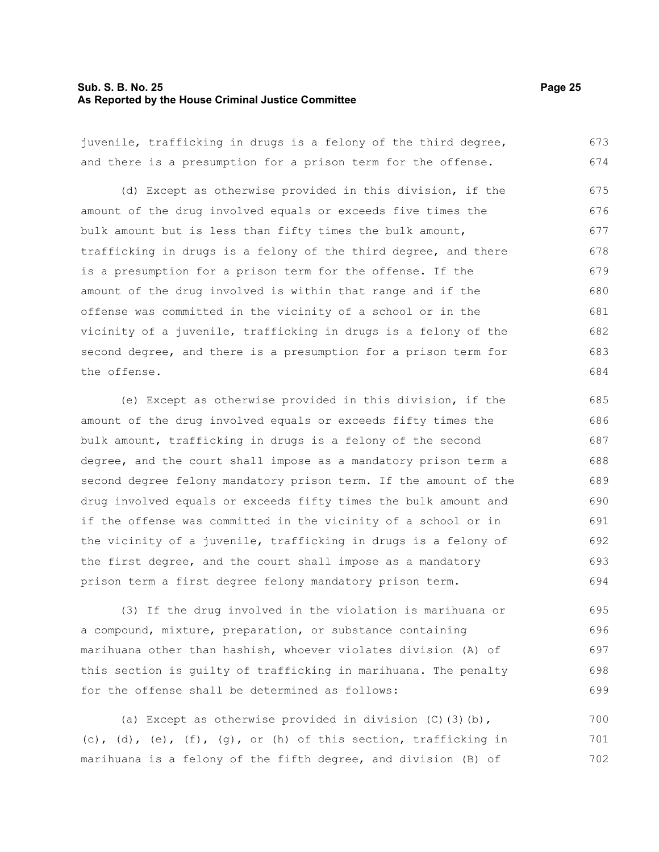#### **Sub. S. B. No. 25 Page 25 As Reported by the House Criminal Justice Committee**

juvenile, trafficking in drugs is a felony of the third degree, and there is a presumption for a prison term for the offense. 673 674

(d) Except as otherwise provided in this division, if the amount of the drug involved equals or exceeds five times the bulk amount but is less than fifty times the bulk amount, trafficking in drugs is a felony of the third degree, and there is a presumption for a prison term for the offense. If the amount of the drug involved is within that range and if the offense was committed in the vicinity of a school or in the vicinity of a juvenile, trafficking in drugs is a felony of the second degree, and there is a presumption for a prison term for the offense. 675 676 677 678 679 680 681 682 683 684

(e) Except as otherwise provided in this division, if the amount of the drug involved equals or exceeds fifty times the bulk amount, trafficking in drugs is a felony of the second degree, and the court shall impose as a mandatory prison term a second degree felony mandatory prison term. If the amount of the drug involved equals or exceeds fifty times the bulk amount and if the offense was committed in the vicinity of a school or in the vicinity of a juvenile, trafficking in drugs is a felony of the first degree, and the court shall impose as a mandatory prison term a first degree felony mandatory prison term.

(3) If the drug involved in the violation is marihuana or a compound, mixture, preparation, or substance containing marihuana other than hashish, whoever violates division (A) of this section is guilty of trafficking in marihuana. The penalty for the offense shall be determined as follows: 695 696 697 698 699

(a) Except as otherwise provided in division (C)(3)(b), (c), (d), (e), (f), (g), or (h) of this section, trafficking in marihuana is a felony of the fifth degree, and division (B) of 700 701 702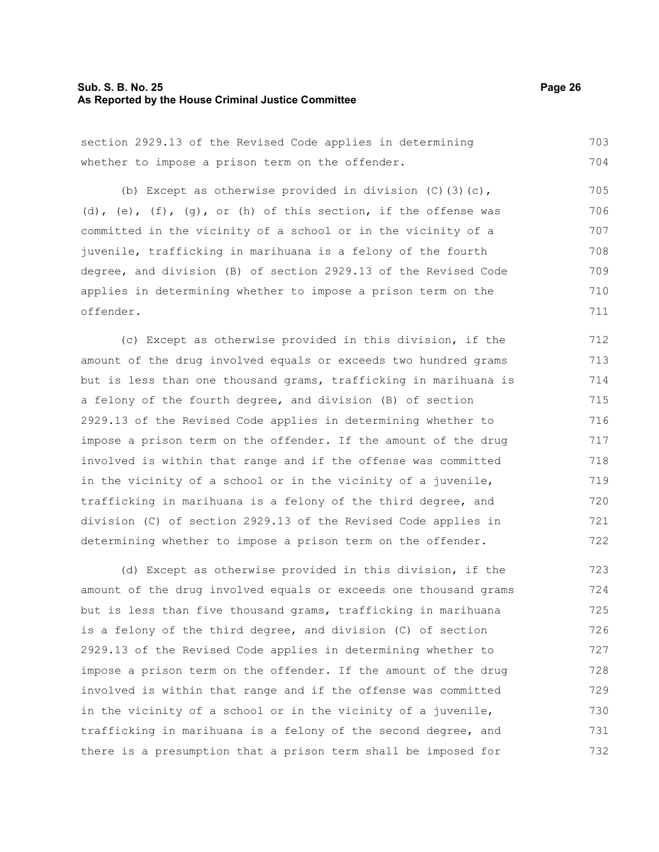#### **Sub. S. B. No. 25 Page 26 As Reported by the House Criminal Justice Committee**

section 2929.13 of the Revised Code applies in determining whether to impose a prison term on the offender. 703 704

(b) Except as otherwise provided in division (C)(3)(c), (d), (e), (f), (g), or (h) of this section, if the offense was committed in the vicinity of a school or in the vicinity of a juvenile, trafficking in marihuana is a felony of the fourth degree, and division (B) of section 2929.13 of the Revised Code applies in determining whether to impose a prison term on the offender. 705 706 707 708 709 710 711

(c) Except as otherwise provided in this division, if the amount of the drug involved equals or exceeds two hundred grams but is less than one thousand grams, trafficking in marihuana is a felony of the fourth degree, and division (B) of section 2929.13 of the Revised Code applies in determining whether to impose a prison term on the offender. If the amount of the drug involved is within that range and if the offense was committed in the vicinity of a school or in the vicinity of a juvenile, trafficking in marihuana is a felony of the third degree, and division (C) of section 2929.13 of the Revised Code applies in determining whether to impose a prison term on the offender. 717

(d) Except as otherwise provided in this division, if the amount of the drug involved equals or exceeds one thousand grams but is less than five thousand grams, trafficking in marihuana is a felony of the third degree, and division (C) of section 2929.13 of the Revised Code applies in determining whether to impose a prison term on the offender. If the amount of the drug involved is within that range and if the offense was committed in the vicinity of a school or in the vicinity of a juvenile, trafficking in marihuana is a felony of the second degree, and there is a presumption that a prison term shall be imposed for 723 724 725 726 727 728 729 730 731 732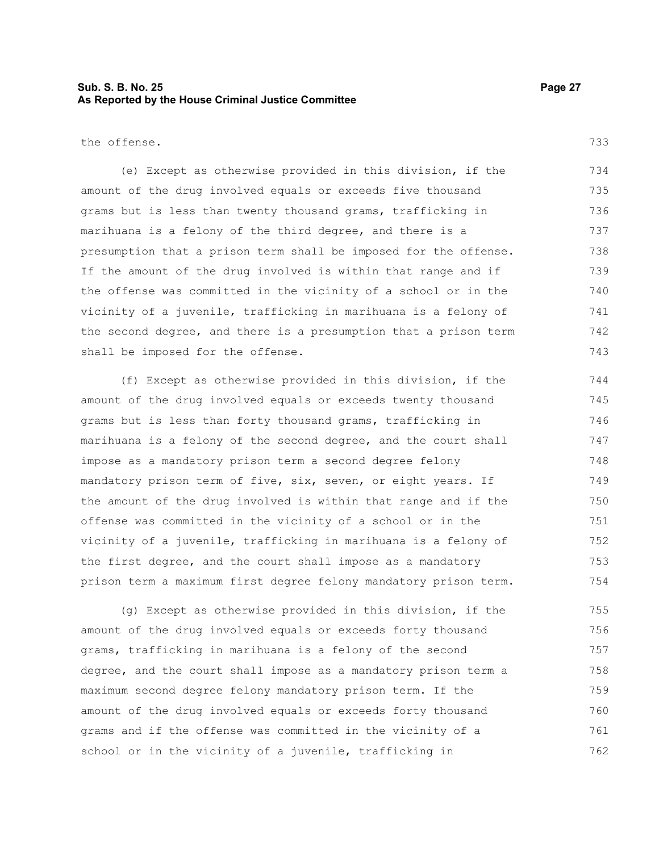#### **Sub. S. B. No. 25 Page 27 As Reported by the House Criminal Justice Committee**

the offense.

(e) Except as otherwise provided in this division, if the amount of the drug involved equals or exceeds five thousand grams but is less than twenty thousand grams, trafficking in marihuana is a felony of the third degree, and there is a presumption that a prison term shall be imposed for the offense. If the amount of the drug involved is within that range and if the offense was committed in the vicinity of a school or in the vicinity of a juvenile, trafficking in marihuana is a felony of the second degree, and there is a presumption that a prison term shall be imposed for the offense. 736 740 741

(f) Except as otherwise provided in this division, if the amount of the drug involved equals or exceeds twenty thousand grams but is less than forty thousand grams, trafficking in marihuana is a felony of the second degree, and the court shall impose as a mandatory prison term a second degree felony mandatory prison term of five, six, seven, or eight years. If the amount of the drug involved is within that range and if the offense was committed in the vicinity of a school or in the vicinity of a juvenile, trafficking in marihuana is a felony of the first degree, and the court shall impose as a mandatory prison term a maximum first degree felony mandatory prison term. 744 745 746 747 748 749 750 751 752 753 754

(g) Except as otherwise provided in this division, if the amount of the drug involved equals or exceeds forty thousand grams, trafficking in marihuana is a felony of the second degree, and the court shall impose as a mandatory prison term a maximum second degree felony mandatory prison term. If the amount of the drug involved equals or exceeds forty thousand grams and if the offense was committed in the vicinity of a school or in the vicinity of a juvenile, trafficking in 755 756 757 758 759 760 761 762

733

734 735

737 738 739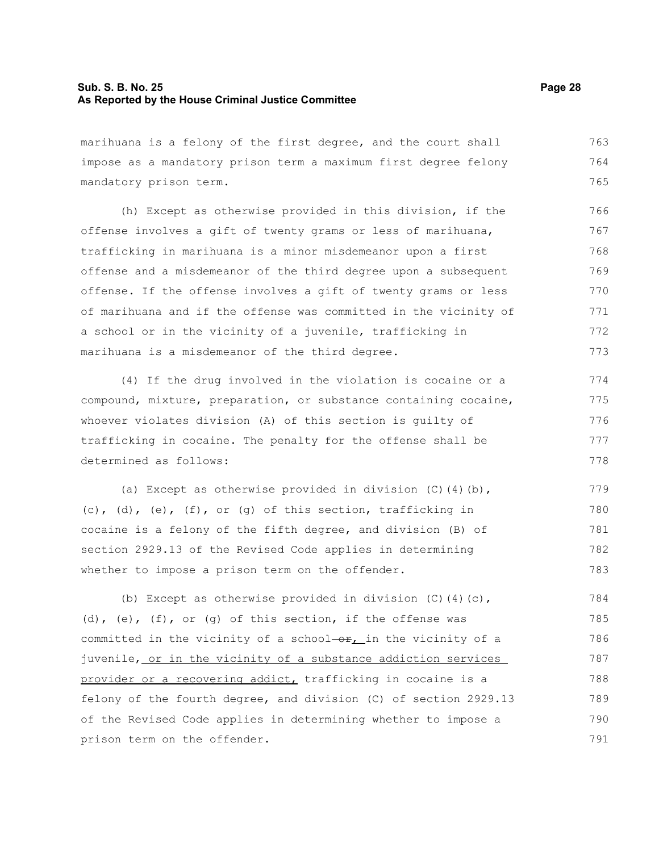#### **Sub. S. B. No. 25 Page 28 As Reported by the House Criminal Justice Committee**

marihuana is a felony of the first degree, and the court shall impose as a mandatory prison term a maximum first degree felony mandatory prison term. 763 764 765

(h) Except as otherwise provided in this division, if the offense involves a gift of twenty grams or less of marihuana, trafficking in marihuana is a minor misdemeanor upon a first offense and a misdemeanor of the third degree upon a subsequent offense. If the offense involves a gift of twenty grams or less of marihuana and if the offense was committed in the vicinity of a school or in the vicinity of a juvenile, trafficking in marihuana is a misdemeanor of the third degree. 766 767 768 769 770 771 772 773

(4) If the drug involved in the violation is cocaine or a compound, mixture, preparation, or substance containing cocaine, whoever violates division (A) of this section is guilty of trafficking in cocaine. The penalty for the offense shall be determined as follows: 774 775 776 777 778

(a) Except as otherwise provided in division (C)(4)(b), (c), (d), (e), (f), or (g) of this section, trafficking in cocaine is a felony of the fifth degree, and division (B) of section 2929.13 of the Revised Code applies in determining whether to impose a prison term on the offender. 779 780 781 782 783

(b) Except as otherwise provided in division (C)(4)(c), (d), (e),  $(f)$ , or (g) of this section, if the offense was committed in the vicinity of a school- $\sigma_{r}$  in the vicinity of a juvenile, or in the vicinity of a substance addiction services provider or a recovering addict, trafficking in cocaine is a felony of the fourth degree, and division (C) of section 2929.13 of the Revised Code applies in determining whether to impose a prison term on the offender. 784 785 786 787 788 789 790 791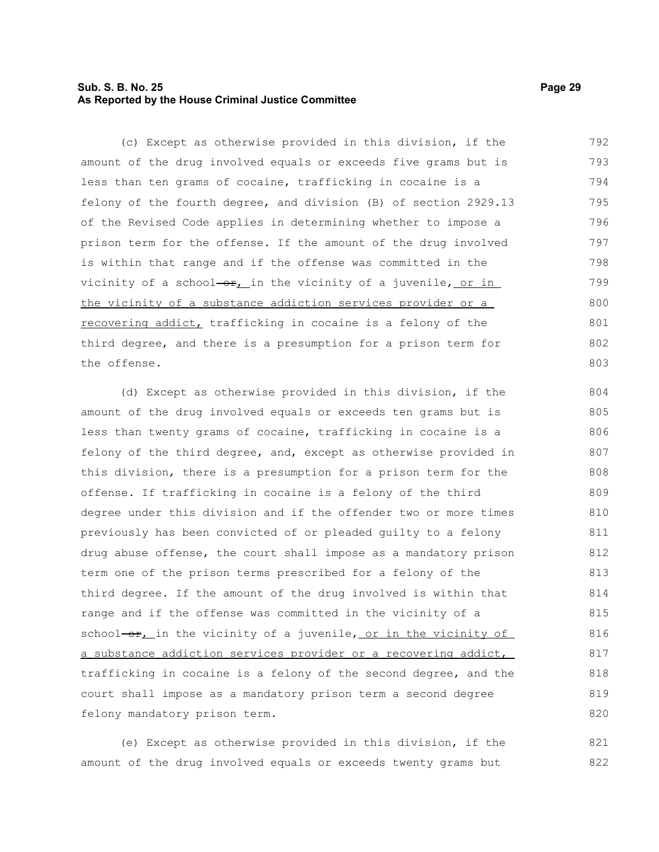#### **Sub. S. B. No. 25 Page 29 As Reported by the House Criminal Justice Committee**

(c) Except as otherwise provided in this division, if the amount of the drug involved equals or exceeds five grams but is less than ten grams of cocaine, trafficking in cocaine is a felony of the fourth degree, and division (B) of section 2929.13 of the Revised Code applies in determining whether to impose a prison term for the offense. If the amount of the drug involved is within that range and if the offense was committed in the vicinity of a school– $\Theta_{L}$  in the vicinity of a juvenile, or in the vicinity of a substance addiction services provider or a recovering addict, trafficking in cocaine is a felony of the third degree, and there is a presumption for a prison term for the offense. 792 793 794 795 796 797 798 799 800 801 802 803

(d) Except as otherwise provided in this division, if the amount of the drug involved equals or exceeds ten grams but is less than twenty grams of cocaine, trafficking in cocaine is a felony of the third degree, and, except as otherwise provided in this division, there is a presumption for a prison term for the offense. If trafficking in cocaine is a felony of the third degree under this division and if the offender two or more times previously has been convicted of or pleaded guilty to a felony drug abuse offense, the court shall impose as a mandatory prison term one of the prison terms prescribed for a felony of the third degree. If the amount of the drug involved is within that range and if the offense was committed in the vicinity of a school-or, in the vicinity of a juvenile, or in the vicinity of a substance addiction services provider or a recovering addict, trafficking in cocaine is a felony of the second degree, and the court shall impose as a mandatory prison term a second degree felony mandatory prison term. 804 805 806 807 808 809 810 811 812 813 814 815 816 817 818 819 820

(e) Except as otherwise provided in this division, if the amount of the drug involved equals or exceeds twenty grams but 821 822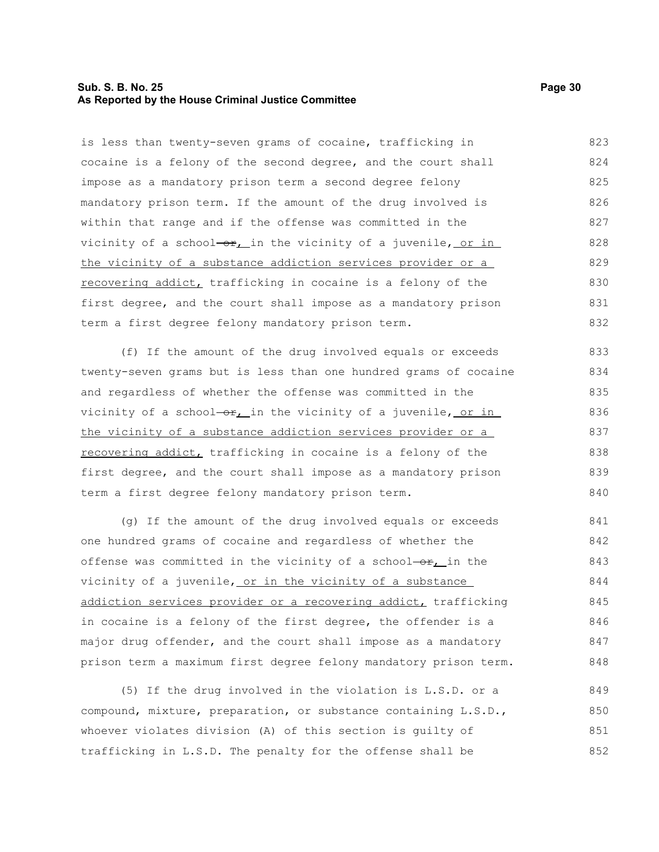#### **Sub. S. B. No. 25 Page 30 As Reported by the House Criminal Justice Committee**

is less than twenty-seven grams of cocaine, trafficking in cocaine is a felony of the second degree, and the court shall impose as a mandatory prison term a second degree felony mandatory prison term. If the amount of the drug involved is within that range and if the offense was committed in the vicinity of a school-or, in the vicinity of a juvenile, or in the vicinity of a substance addiction services provider or a recovering addict, trafficking in cocaine is a felony of the first degree, and the court shall impose as a mandatory prison term a first degree felony mandatory prison term. 823 824 825 826 827 828 829 830 831 832

(f) If the amount of the drug involved equals or exceeds twenty-seven grams but is less than one hundred grams of cocaine and regardless of whether the offense was committed in the vicinity of a school– $o$ r, in the vicinity of a juvenile, or in the vicinity of a substance addiction services provider or a recovering addict, trafficking in cocaine is a felony of the first degree, and the court shall impose as a mandatory prison term a first degree felony mandatory prison term. 833 834 835 836 837 838 839 840

(g) If the amount of the drug involved equals or exceeds one hundred grams of cocaine and regardless of whether the offense was committed in the vicinity of a school- $\sigma$ <sub>r</sub> in the vicinity of a juvenile, or in the vicinity of a substance addiction services provider or a recovering addict, trafficking in cocaine is a felony of the first degree, the offender is a major drug offender, and the court shall impose as a mandatory prison term a maximum first degree felony mandatory prison term. 841 842 843 844 845 846 847 848

(5) If the drug involved in the violation is L.S.D. or a compound, mixture, preparation, or substance containing L.S.D., whoever violates division (A) of this section is guilty of trafficking in L.S.D. The penalty for the offense shall be 849 850 851 852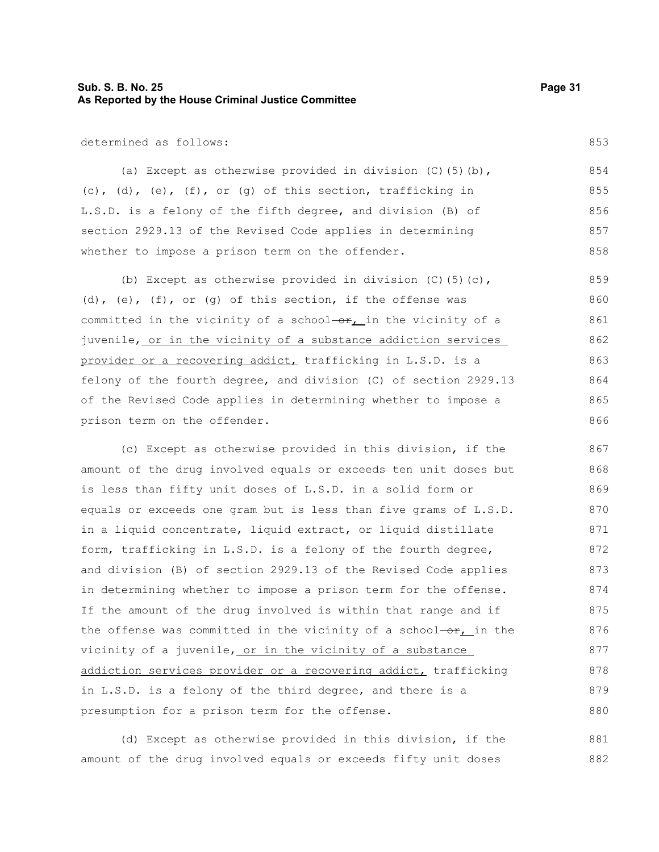#### **Sub. S. B. No. 25 Page 31 As Reported by the House Criminal Justice Committee**

determined as follows:

(a) Except as otherwise provided in division (C)(5)(b), (c), (d), (e), (f), or (g) of this section, trafficking in L.S.D. is a felony of the fifth degree, and division (B) of section 2929.13 of the Revised Code applies in determining whether to impose a prison term on the offender. 854 855 856 857 858

(b) Except as otherwise provided in division (C)(5)(c), (d), (e),  $(f)$ , or (g) of this section, if the offense was committed in the vicinity of a school- $\sigma_{r}$  in the vicinity of a juvenile, or in the vicinity of a substance addiction services provider or a recovering addict, trafficking in L.S.D. is a felony of the fourth degree, and division (C) of section 2929.13 of the Revised Code applies in determining whether to impose a prison term on the offender. 859 860 861 862 863 864 865 866

(c) Except as otherwise provided in this division, if the amount of the drug involved equals or exceeds ten unit doses but is less than fifty unit doses of L.S.D. in a solid form or equals or exceeds one gram but is less than five grams of L.S.D. in a liquid concentrate, liquid extract, or liquid distillate form, trafficking in L.S.D. is a felony of the fourth degree, and division (B) of section 2929.13 of the Revised Code applies in determining whether to impose a prison term for the offense. If the amount of the drug involved is within that range and if the offense was committed in the vicinity of a school- $or,$  in the vicinity of a juvenile, or in the vicinity of a substance addiction services provider or a recovering addict, trafficking in L.S.D. is a felony of the third degree, and there is a presumption for a prison term for the offense. 867 868 869 870 871 872 873 874 875 876 877 878 879 880

(d) Except as otherwise provided in this division, if the amount of the drug involved equals or exceeds fifty unit doses 881 882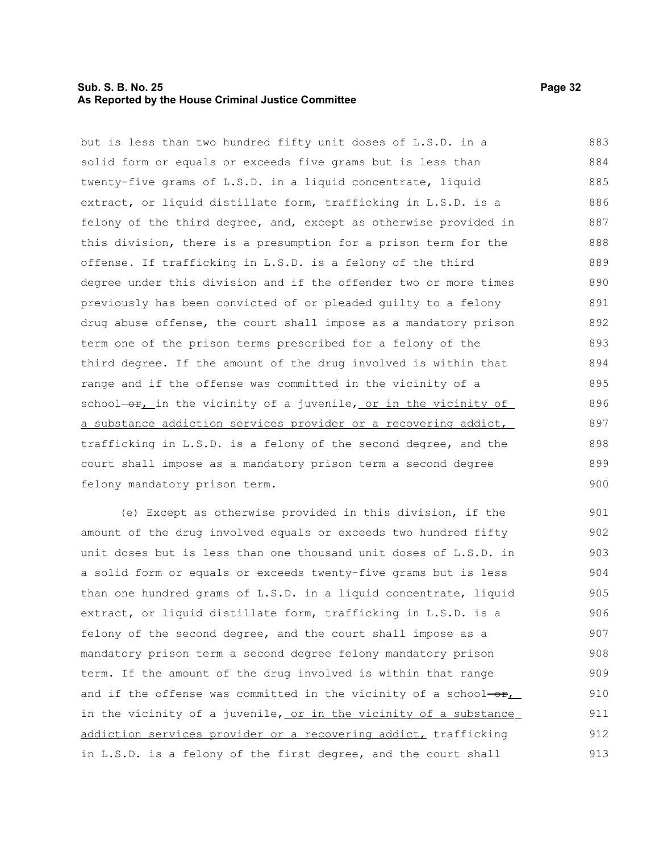#### **Sub. S. B. No. 25 Page 32 As Reported by the House Criminal Justice Committee**

but is less than two hundred fifty unit doses of L.S.D. in a solid form or equals or exceeds five grams but is less than twenty-five grams of L.S.D. in a liquid concentrate, liquid extract, or liquid distillate form, trafficking in L.S.D. is a felony of the third degree, and, except as otherwise provided in this division, there is a presumption for a prison term for the offense. If trafficking in L.S.D. is a felony of the third degree under this division and if the offender two or more times previously has been convicted of or pleaded guilty to a felony drug abuse offense, the court shall impose as a mandatory prison term one of the prison terms prescribed for a felony of the third degree. If the amount of the drug involved is within that range and if the offense was committed in the vicinity of a school-or, in the vicinity of a juvenile, or in the vicinity of a substance addiction services provider or a recovering addict, trafficking in L.S.D. is a felony of the second degree, and the court shall impose as a mandatory prison term a second degree felony mandatory prison term. 883 884 885 886 887 888 889 890 891 892 893 894 895 896 897 898 899 900

(e) Except as otherwise provided in this division, if the amount of the drug involved equals or exceeds two hundred fifty unit doses but is less than one thousand unit doses of L.S.D. in a solid form or equals or exceeds twenty-five grams but is less than one hundred grams of L.S.D. in a liquid concentrate, liquid extract, or liquid distillate form, trafficking in L.S.D. is a felony of the second degree, and the court shall impose as a mandatory prison term a second degree felony mandatory prison term. If the amount of the drug involved is within that range and if the offense was committed in the vicinity of a school- $\Theta$ r, in the vicinity of a juvenile, or in the vicinity of a substance addiction services provider or a recovering addict, trafficking in L.S.D. is a felony of the first degree, and the court shall 901 902 903 904 905 906 907 908 909 910 911 912 913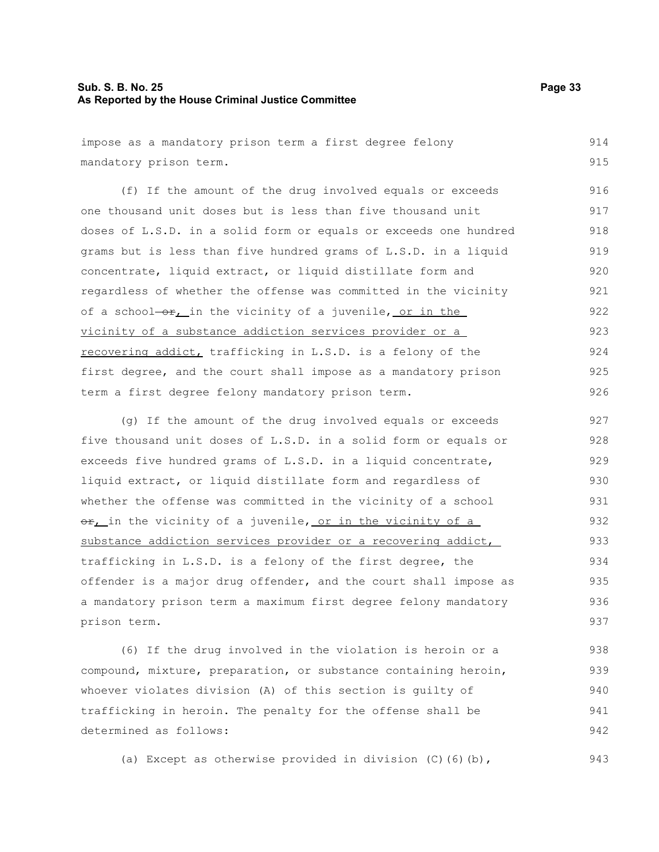#### **Sub. S. B. No. 25 Page 33 As Reported by the House Criminal Justice Committee**

(f) If the amount of the drug involved equals or exceeds one thousand unit doses but is less than five thousand unit doses of L.S.D. in a solid form or equals or exceeds one hundred grams but is less than five hundred grams of L.S.D. in a liquid concentrate, liquid extract, or liquid distillate form and regardless of whether the offense was committed in the vicinity of a school- $\sigma r$ , in the vicinity of a juvenile, or in the vicinity of a substance addiction services provider or a recovering addict, trafficking in L.S.D. is a felony of the first degree, and the court shall impose as a mandatory prison term a first degree felony mandatory prison term. 916 917 918 919 920 921 922 923 924 925 926

(g) If the amount of the drug involved equals or exceeds five thousand unit doses of L.S.D. in a solid form or equals or exceeds five hundred grams of L.S.D. in a liquid concentrate, liquid extract, or liquid distillate form and regardless of whether the offense was committed in the vicinity of a school or, in the vicinity of a juvenile, or in the vicinity of a substance addiction services provider or a recovering addict, trafficking in L.S.D. is a felony of the first degree, the offender is a major drug offender, and the court shall impose as a mandatory prison term a maximum first degree felony mandatory prison term. 927 928 929 930 931 932 933 934 935 936 937

(6) If the drug involved in the violation is heroin or a compound, mixture, preparation, or substance containing heroin, whoever violates division (A) of this section is guilty of trafficking in heroin. The penalty for the offense shall be determined as follows: 938 939 940 941 942

(a) Except as otherwise provided in division  $(C)$  (6)(b),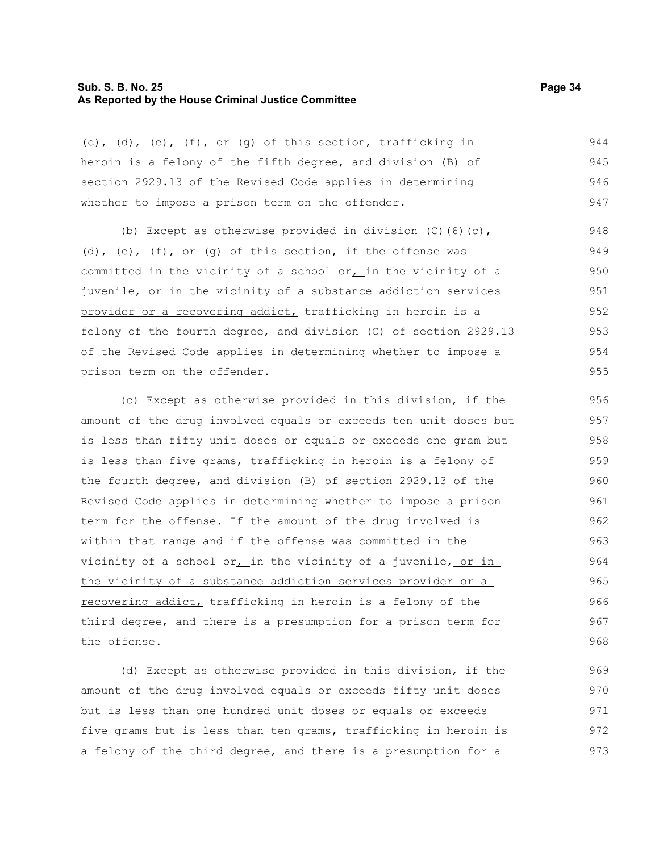#### **Sub. S. B. No. 25 Page 34 As Reported by the House Criminal Justice Committee**

(c), (d), (e), (f), or (g) of this section, trafficking in heroin is a felony of the fifth degree, and division (B) of section 2929.13 of the Revised Code applies in determining whether to impose a prison term on the offender. 944 945 946 947

(b) Except as otherwise provided in division (C)(6)(c), (d), (e),  $(f)$ , or (q) of this section, if the offense was committed in the vicinity of a school- $or,$  in the vicinity of a juvenile, or in the vicinity of a substance addiction services provider or a recovering addict, trafficking in heroin is a felony of the fourth degree, and division (C) of section 2929.13 of the Revised Code applies in determining whether to impose a prison term on the offender. 948 949 950 951 952 953 954 955

(c) Except as otherwise provided in this division, if the amount of the drug involved equals or exceeds ten unit doses but is less than fifty unit doses or equals or exceeds one gram but is less than five grams, trafficking in heroin is a felony of the fourth degree, and division (B) of section 2929.13 of the Revised Code applies in determining whether to impose a prison term for the offense. If the amount of the drug involved is within that range and if the offense was committed in the vicinity of a school– $\Theta_{t}$  in the vicinity of a juvenile, or in the vicinity of a substance addiction services provider or a recovering addict, trafficking in heroin is a felony of the third degree, and there is a presumption for a prison term for the offense.

(d) Except as otherwise provided in this division, if the amount of the drug involved equals or exceeds fifty unit doses but is less than one hundred unit doses or equals or exceeds five grams but is less than ten grams, trafficking in heroin is a felony of the third degree, and there is a presumption for a 969 970 971 972 973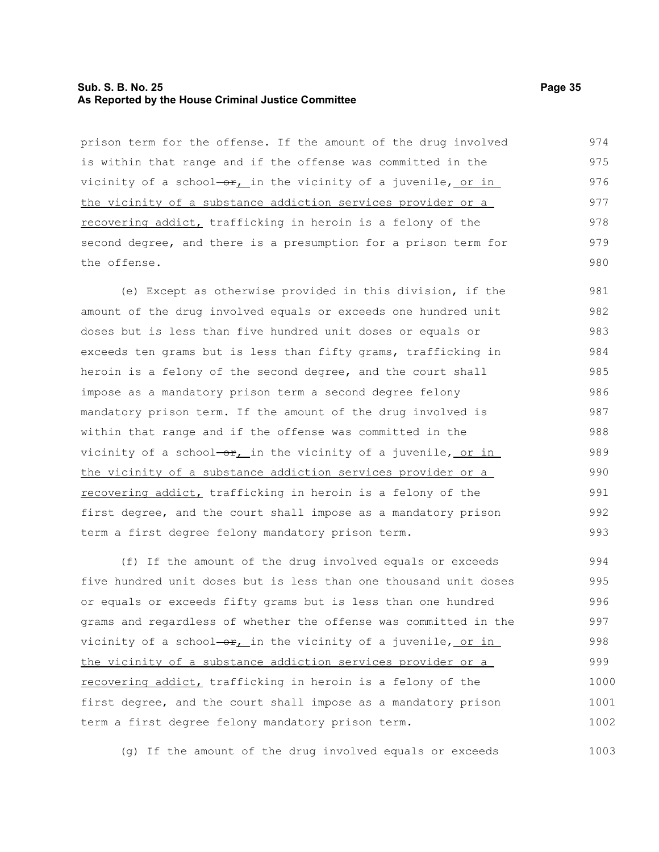#### **Sub. S. B. No. 25 Page 35 As Reported by the House Criminal Justice Committee**

prison term for the offense. If the amount of the drug involved is within that range and if the offense was committed in the vicinity of a school– $o$ r, in the vicinity of a juvenile, or in the vicinity of a substance addiction services provider or a recovering addict, trafficking in heroin is a felony of the second degree, and there is a presumption for a prison term for the offense. 974 975 976 977 978 979 980

(e) Except as otherwise provided in this division, if the amount of the drug involved equals or exceeds one hundred unit doses but is less than five hundred unit doses or equals or exceeds ten grams but is less than fifty grams, trafficking in heroin is a felony of the second degree, and the court shall impose as a mandatory prison term a second degree felony mandatory prison term. If the amount of the drug involved is within that range and if the offense was committed in the vicinity of a school- $\sigma_{r}$  in the vicinity of a juvenile, or in the vicinity of a substance addiction services provider or a recovering addict, trafficking in heroin is a felony of the first degree, and the court shall impose as a mandatory prison term a first degree felony mandatory prison term. 981 982 983 984 985 986 987 988 989 990 991 992 993

(f) If the amount of the drug involved equals or exceeds five hundred unit doses but is less than one thousand unit doses or equals or exceeds fifty grams but is less than one hundred grams and regardless of whether the offense was committed in the vicinity of a school- $o$ r, in the vicinity of a juvenile, or in the vicinity of a substance addiction services provider or a recovering addict, trafficking in heroin is a felony of the first degree, and the court shall impose as a mandatory prison term a first degree felony mandatory prison term. 994 995 996 997 998 999 1000 1001 1002

(g) If the amount of the drug involved equals or exceeds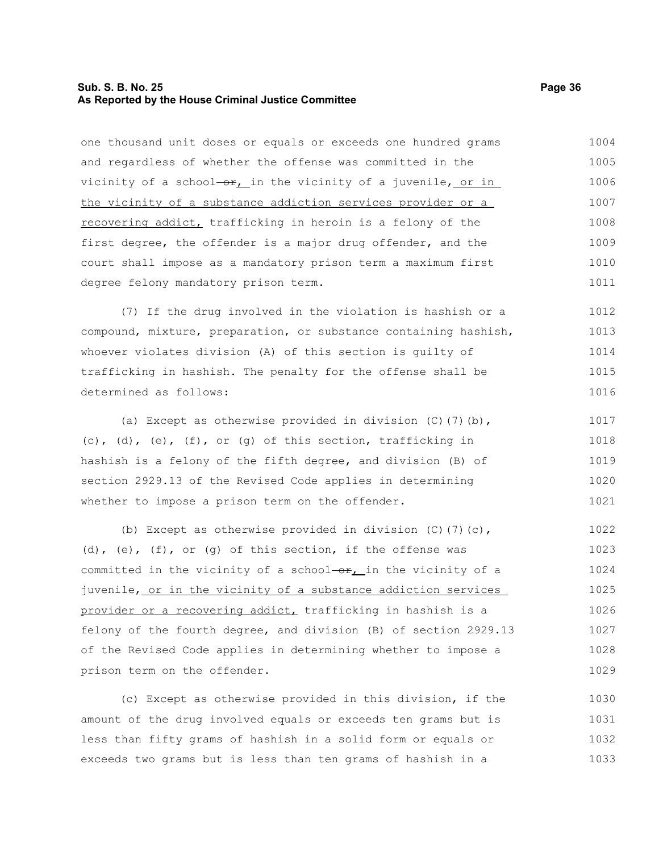#### **Sub. S. B. No. 25 Page 36 As Reported by the House Criminal Justice Committee**

one thousand unit doses or equals or exceeds one hundred grams and regardless of whether the offense was committed in the vicinity of a school– $\Theta_{r}$  in the vicinity of a juvenile, or in the vicinity of a substance addiction services provider or a recovering addict, trafficking in heroin is a felony of the first degree, the offender is a major drug offender, and the court shall impose as a mandatory prison term a maximum first degree felony mandatory prison term. 1004 1005 1006 1007 1008 1009 1010 1011

(7) If the drug involved in the violation is hashish or a compound, mixture, preparation, or substance containing hashish, whoever violates division (A) of this section is guilty of trafficking in hashish. The penalty for the offense shall be determined as follows: 1012 1013 1014 1015 1016

(a) Except as otherwise provided in division (C)(7)(b), (c), (d), (e),  $(f)$ , or (q) of this section, trafficking in hashish is a felony of the fifth degree, and division (B) of section 2929.13 of the Revised Code applies in determining whether to impose a prison term on the offender. 1017 1018 1019 1020 1021

(b) Except as otherwise provided in division (C)(7)(c), (d), (e), (f), or (g) of this section, if the offense was committed in the vicinity of a school–or, in the vicinity of a juvenile, or in the vicinity of a substance addiction services provider or a recovering addict, trafficking in hashish is a felony of the fourth degree, and division (B) of section 2929.13 of the Revised Code applies in determining whether to impose a prison term on the offender. 1022 1023 1024 1025 1026 1027 1028 1029

(c) Except as otherwise provided in this division, if the amount of the drug involved equals or exceeds ten grams but is less than fifty grams of hashish in a solid form or equals or exceeds two grams but is less than ten grams of hashish in a 1030 1031 1032 1033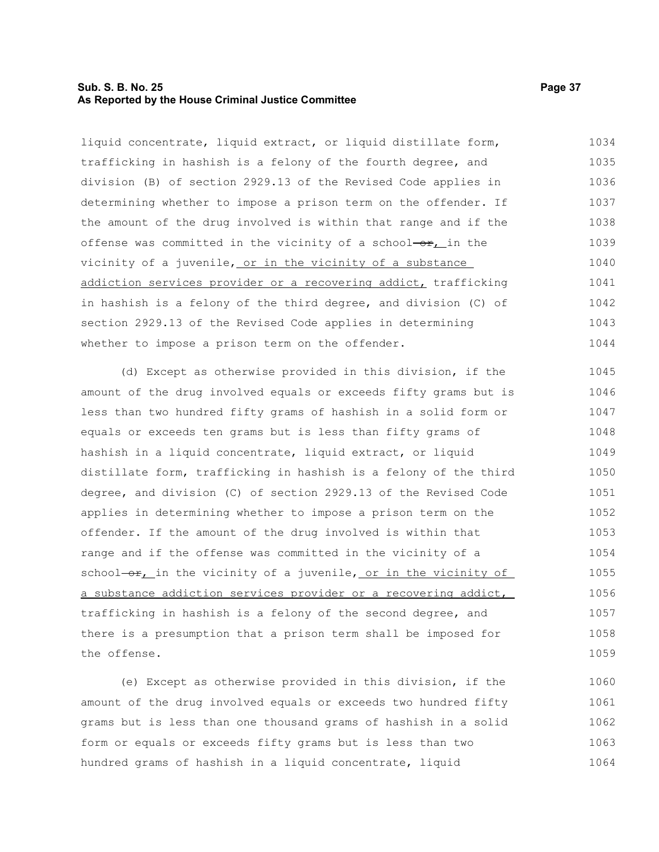#### **Sub. S. B. No. 25 Page 37 As Reported by the House Criminal Justice Committee**

liquid concentrate, liquid extract, or liquid distillate form, trafficking in hashish is a felony of the fourth degree, and division (B) of section 2929.13 of the Revised Code applies in determining whether to impose a prison term on the offender. If the amount of the drug involved is within that range and if the offense was committed in the vicinity of a school- $or,$  in the vicinity of a juvenile, or in the vicinity of a substance addiction services provider or a recovering addict, trafficking in hashish is a felony of the third degree, and division (C) of section 2929.13 of the Revised Code applies in determining whether to impose a prison term on the offender. 1034 1035 1036 1037 1038 1039 1040 1041 1042 1043 1044

(d) Except as otherwise provided in this division, if the amount of the drug involved equals or exceeds fifty grams but is less than two hundred fifty grams of hashish in a solid form or equals or exceeds ten grams but is less than fifty grams of hashish in a liquid concentrate, liquid extract, or liquid distillate form, trafficking in hashish is a felony of the third degree, and division (C) of section 2929.13 of the Revised Code applies in determining whether to impose a prison term on the offender. If the amount of the drug involved is within that range and if the offense was committed in the vicinity of a school-or, in the vicinity of a juvenile, or in the vicinity of a substance addiction services provider or a recovering addict, trafficking in hashish is a felony of the second degree, and there is a presumption that a prison term shall be imposed for the offense. 1045 1046 1047 1048 1049 1050 1051 1052 1053 1054 1055 1056 1057 1058 1059

(e) Except as otherwise provided in this division, if the amount of the drug involved equals or exceeds two hundred fifty grams but is less than one thousand grams of hashish in a solid form or equals or exceeds fifty grams but is less than two hundred grams of hashish in a liquid concentrate, liquid 1060 1061 1062 1063 1064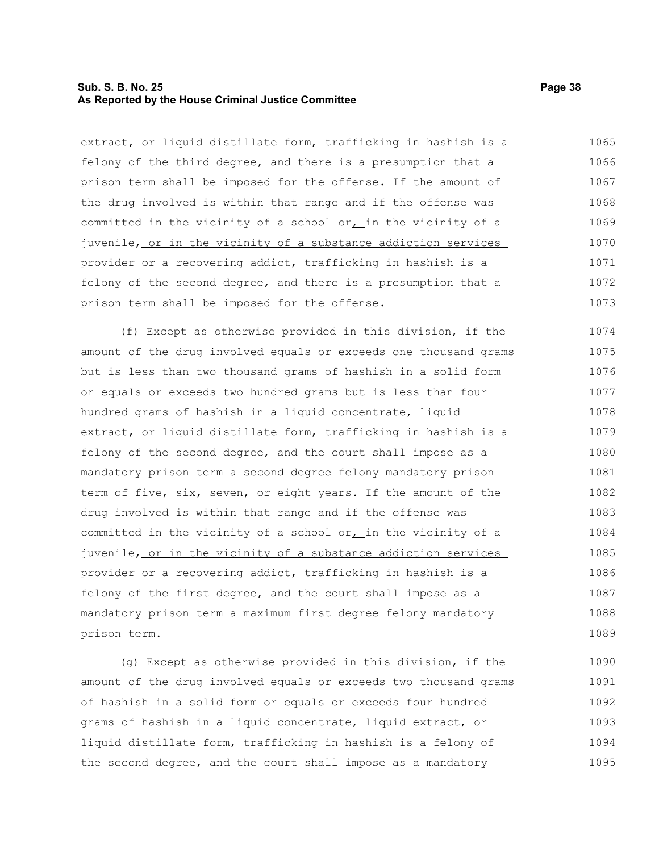#### **Sub. S. B. No. 25 Page 38 As Reported by the House Criminal Justice Committee**

extract, or liquid distillate form, trafficking in hashish is a felony of the third degree, and there is a presumption that a prison term shall be imposed for the offense. If the amount of the drug involved is within that range and if the offense was committed in the vicinity of a school- $\Theta$ <sub>r</sub> in the vicinity of a juvenile, or in the vicinity of a substance addiction services provider or a recovering addict, trafficking in hashish is a felony of the second degree, and there is a presumption that a prison term shall be imposed for the offense. 1065 1066 1067 1068 1069 1070 1071 1072 1073

(f) Except as otherwise provided in this division, if the amount of the drug involved equals or exceeds one thousand grams but is less than two thousand grams of hashish in a solid form or equals or exceeds two hundred grams but is less than four hundred grams of hashish in a liquid concentrate, liquid extract, or liquid distillate form, trafficking in hashish is a felony of the second degree, and the court shall impose as a mandatory prison term a second degree felony mandatory prison term of five, six, seven, or eight years. If the amount of the drug involved is within that range and if the offense was committed in the vicinity of a school- $or$ , in the vicinity of a juvenile, or in the vicinity of a substance addiction services provider or a recovering addict, trafficking in hashish is a felony of the first degree, and the court shall impose as a mandatory prison term a maximum first degree felony mandatory prison term. 1074 1075 1076 1077 1078 1079 1080 1081 1082 1083 1084 1085 1086 1087 1088 1089

(g) Except as otherwise provided in this division, if the amount of the drug involved equals or exceeds two thousand grams of hashish in a solid form or equals or exceeds four hundred grams of hashish in a liquid concentrate, liquid extract, or liquid distillate form, trafficking in hashish is a felony of the second degree, and the court shall impose as a mandatory 1090 1091 1092 1093 1094 1095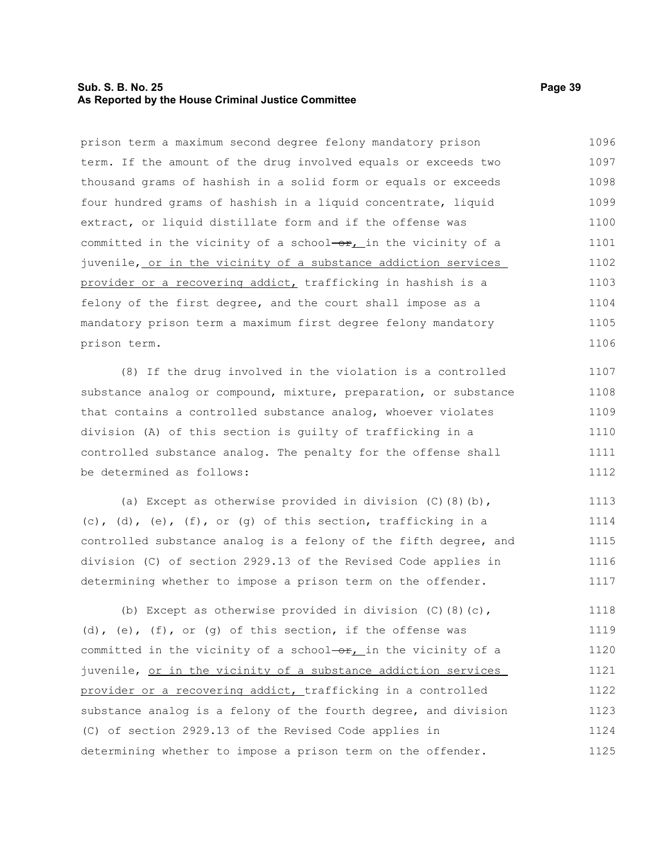#### **Sub. S. B. No. 25 Page 39 As Reported by the House Criminal Justice Committee**

prison term a maximum second degree felony mandatory prison term. If the amount of the drug involved equals or exceeds two thousand grams of hashish in a solid form or equals or exceeds four hundred grams of hashish in a liquid concentrate, liquid extract, or liquid distillate form and if the offense was committed in the vicinity of a school- $\sigma$ <sub>r</sub> in the vicinity of a juvenile, or in the vicinity of a substance addiction services provider or a recovering addict, trafficking in hashish is a felony of the first degree, and the court shall impose as a mandatory prison term a maximum first degree felony mandatory prison term. 1096 1097 1098 1099 1100 1101 1102 1103 1104 1105 1106

(8) If the drug involved in the violation is a controlled substance analog or compound, mixture, preparation, or substance that contains a controlled substance analog, whoever violates division (A) of this section is guilty of trafficking in a controlled substance analog. The penalty for the offense shall be determined as follows: 1107 1108 1109 1110 1111 1112

(a) Except as otherwise provided in division (C)(8)(b), (c), (d), (e), (f), or (g) of this section, trafficking in a controlled substance analog is a felony of the fifth degree, and division (C) of section 2929.13 of the Revised Code applies in determining whether to impose a prison term on the offender. 1113 1114 1115 1116 1117

(b) Except as otherwise provided in division (C)(8)(c), (d), (e),  $(f)$ , or (q) of this section, if the offense was committed in the vicinity of a school–or, in the vicinity of a juvenile, or in the vicinity of a substance addiction services provider or a recovering addict, trafficking in a controlled substance analog is a felony of the fourth degree, and division (C) of section 2929.13 of the Revised Code applies in determining whether to impose a prison term on the offender. 1118 1119 1120 1121 1122 1123 1124 1125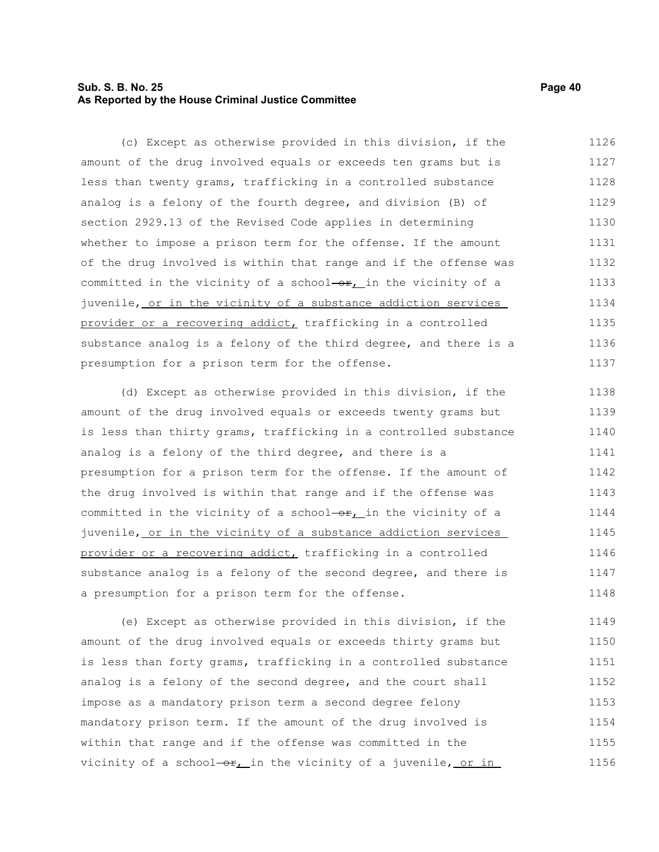#### **Sub. S. B. No. 25 Page 40 As Reported by the House Criminal Justice Committee**

(c) Except as otherwise provided in this division, if the amount of the drug involved equals or exceeds ten grams but is less than twenty grams, trafficking in a controlled substance analog is a felony of the fourth degree, and division (B) of section 2929.13 of the Revised Code applies in determining whether to impose a prison term for the offense. If the amount of the drug involved is within that range and if the offense was committed in the vicinity of a school- $o$ r, in the vicinity of a juvenile, or in the vicinity of a substance addiction services provider or a recovering addict, trafficking in a controlled substance analog is a felony of the third degree, and there is a presumption for a prison term for the offense. 1126 1127 1128 1129 1130 1131 1132 1133 1134 1135 1136 1137

(d) Except as otherwise provided in this division, if the amount of the drug involved equals or exceeds twenty grams but is less than thirty grams, trafficking in a controlled substance analog is a felony of the third degree, and there is a presumption for a prison term for the offense. If the amount of the drug involved is within that range and if the offense was committed in the vicinity of a school- $\Theta$ <sub>r</sub> in the vicinity of a juvenile, or in the vicinity of a substance addiction services provider or a recovering addict, trafficking in a controlled substance analog is a felony of the second degree, and there is a presumption for a prison term for the offense. 1138 1139 1140 1141 1142 1143 1144 1145 1146 1147 1148

(e) Except as otherwise provided in this division, if the amount of the drug involved equals or exceeds thirty grams but is less than forty grams, trafficking in a controlled substance analog is a felony of the second degree, and the court shall impose as a mandatory prison term a second degree felony mandatory prison term. If the amount of the drug involved is within that range and if the offense was committed in the vicinity of a school– $\Theta r$ , in the vicinity of a juvenile, or in 1149 1150 1151 1152 1153 1154 1155 1156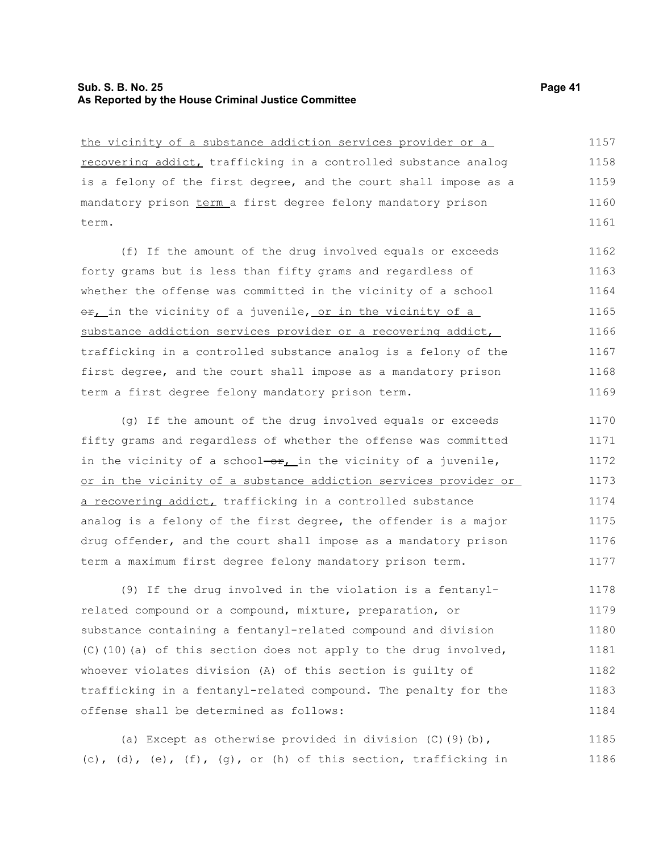the vicinity of a substance addiction services provider or a recovering addict, trafficking in a controlled substance analog is a felony of the first degree, and the court shall impose as a mandatory prison term a first degree felony mandatory prison term. 1157 1158 1159 1160 1161

(f) If the amount of the drug involved equals or exceeds forty grams but is less than fifty grams and regardless of whether the offense was committed in the vicinity of a school or, in the vicinity of a juvenile, or in the vicinity of a substance addiction services provider or a recovering addict, trafficking in a controlled substance analog is a felony of the first degree, and the court shall impose as a mandatory prison term a first degree felony mandatory prison term. 1162 1163 1164 1165 1166 1167 1168 1169

(g) If the amount of the drug involved equals or exceeds fifty grams and regardless of whether the offense was committed in the vicinity of a school– $\Theta r$ , in the vicinity of a juvenile, or in the vicinity of a substance addiction services provider or a recovering addict, trafficking in a controlled substance analog is a felony of the first degree, the offender is a major drug offender, and the court shall impose as a mandatory prison term a maximum first degree felony mandatory prison term. 1170 1171 1172 1173 1174 1175 1176 1177

(9) If the drug involved in the violation is a fentanylrelated compound or a compound, mixture, preparation, or substance containing a fentanyl-related compound and division (C)(10)(a) of this section does not apply to the drug involved, whoever violates division (A) of this section is guilty of trafficking in a fentanyl-related compound. The penalty for the offense shall be determined as follows: 1178 1179 1180 1181 1182 1183 1184

(a) Except as otherwise provided in division (C)(9)(b), (c), (d), (e), (f), (q), or (h) of this section, trafficking in 1185 1186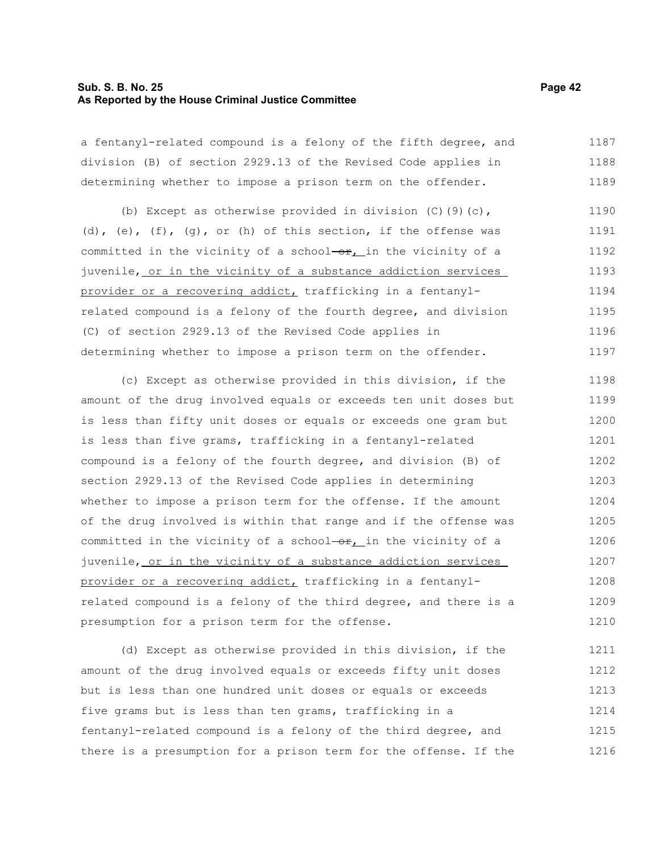#### **Sub. S. B. No. 25 Page 42 As Reported by the House Criminal Justice Committee**

a fentanyl-related compound is a felony of the fifth degree, and division (B) of section 2929.13 of the Revised Code applies in determining whether to impose a prison term on the offender. 1187 1188 1189

(b) Except as otherwise provided in division (C)(9)(c), (d), (e),  $(f)$ ,  $(g)$ , or (h) of this section, if the offense was committed in the vicinity of a school- $\Theta$ r, in the vicinity of a juvenile, or in the vicinity of a substance addiction services provider or a recovering addict, trafficking in a fentanylrelated compound is a felony of the fourth degree, and division (C) of section 2929.13 of the Revised Code applies in determining whether to impose a prison term on the offender. 1190 1191 1192 1193 1194 1195 1196 1197

(c) Except as otherwise provided in this division, if the amount of the drug involved equals or exceeds ten unit doses but is less than fifty unit doses or equals or exceeds one gram but is less than five grams, trafficking in a fentanyl-related compound is a felony of the fourth degree, and division (B) of section 2929.13 of the Revised Code applies in determining whether to impose a prison term for the offense. If the amount of the drug involved is within that range and if the offense was committed in the vicinity of a school- $o$ <sub>r</sub>, in the vicinity of a juvenile, or in the vicinity of a substance addiction services provider or a recovering addict, trafficking in a fentanylrelated compound is a felony of the third degree, and there is a presumption for a prison term for the offense. 1198 1199 1200 1201 1202 1203 1204 1205 1206 1207 1208 1209 1210

(d) Except as otherwise provided in this division, if the amount of the drug involved equals or exceeds fifty unit doses but is less than one hundred unit doses or equals or exceeds five grams but is less than ten grams, trafficking in a fentanyl-related compound is a felony of the third degree, and there is a presumption for a prison term for the offense. If the 1211 1212 1213 1214 1215 1216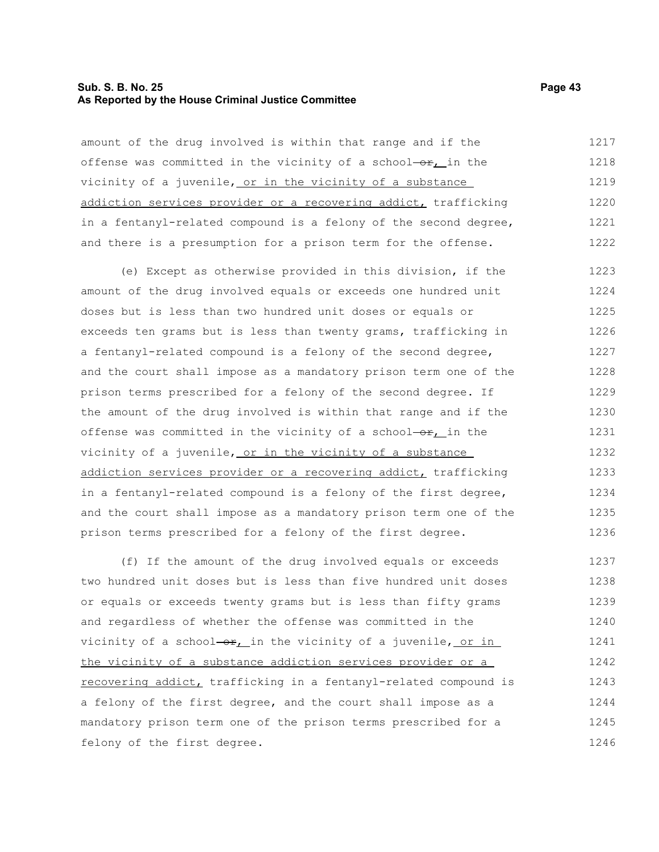#### **Sub. S. B. No. 25 Page 43 As Reported by the House Criminal Justice Committee**

amount of the drug involved is within that range and if the offense was committed in the vicinity of a school- $\Theta$ r, in the vicinity of a juvenile, or in the vicinity of a substance addiction services provider or a recovering addict, trafficking in a fentanyl-related compound is a felony of the second degree, and there is a presumption for a prison term for the offense. 1217 1218 1219 1220 1221 1222

(e) Except as otherwise provided in this division, if the amount of the drug involved equals or exceeds one hundred unit doses but is less than two hundred unit doses or equals or exceeds ten grams but is less than twenty grams, trafficking in a fentanyl-related compound is a felony of the second degree, and the court shall impose as a mandatory prison term one of the prison terms prescribed for a felony of the second degree. If the amount of the drug involved is within that range and if the offense was committed in the vicinity of a school- $or,$  in the vicinity of a juvenile, or in the vicinity of a substance addiction services provider or a recovering addict, trafficking in a fentanyl-related compound is a felony of the first degree, and the court shall impose as a mandatory prison term one of the prison terms prescribed for a felony of the first degree. 1223 1224 1225 1226 1227 1228 1229 1230 1231 1232 1233 1234 1235 1236

(f) If the amount of the drug involved equals or exceeds two hundred unit doses but is less than five hundred unit doses or equals or exceeds twenty grams but is less than fifty grams and regardless of whether the offense was committed in the vicinity of a school– $o$ r, in the vicinity of a juvenile, or in the vicinity of a substance addiction services provider or a recovering addict, trafficking in a fentanyl-related compound is a felony of the first degree, and the court shall impose as a mandatory prison term one of the prison terms prescribed for a felony of the first degree. 1237 1238 1239 1240 1241 1242 1243 1244 1245 1246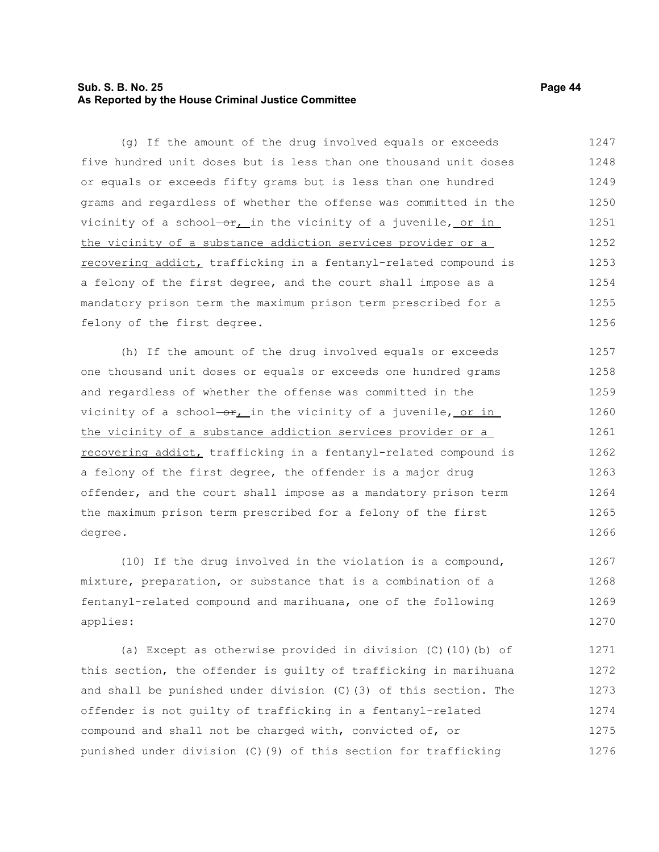#### **Sub. S. B. No. 25 Page 44 As Reported by the House Criminal Justice Committee**

(g) If the amount of the drug involved equals or exceeds five hundred unit doses but is less than one thousand unit doses or equals or exceeds fifty grams but is less than one hundred grams and regardless of whether the offense was committed in the vicinity of a school– $\Theta_{L}$  in the vicinity of a juvenile, or in the vicinity of a substance addiction services provider or a recovering addict, trafficking in a fentanyl-related compound is a felony of the first degree, and the court shall impose as a mandatory prison term the maximum prison term prescribed for a felony of the first degree. 1247 1248 1249 1250 1251 1252 1253 1254 1255 1256

(h) If the amount of the drug involved equals or exceeds one thousand unit doses or equals or exceeds one hundred grams and regardless of whether the offense was committed in the vicinity of a school– $\Theta r$ , in the vicinity of a juvenile, or in the vicinity of a substance addiction services provider or a recovering addict, trafficking in a fentanyl-related compound is a felony of the first degree, the offender is a major drug offender, and the court shall impose as a mandatory prison term the maximum prison term prescribed for a felony of the first degree. 1257 1258 1259 1260 1261 1262 1263 1264 1265 1266

(10) If the drug involved in the violation is a compound, mixture, preparation, or substance that is a combination of a fentanyl-related compound and marihuana, one of the following applies: 1267 1268 1269 1270

(a) Except as otherwise provided in division (C)(10)(b) of this section, the offender is guilty of trafficking in marihuana and shall be punished under division (C)(3) of this section. The offender is not guilty of trafficking in a fentanyl-related compound and shall not be charged with, convicted of, or punished under division (C)(9) of this section for trafficking 1271 1272 1273 1274 1275 1276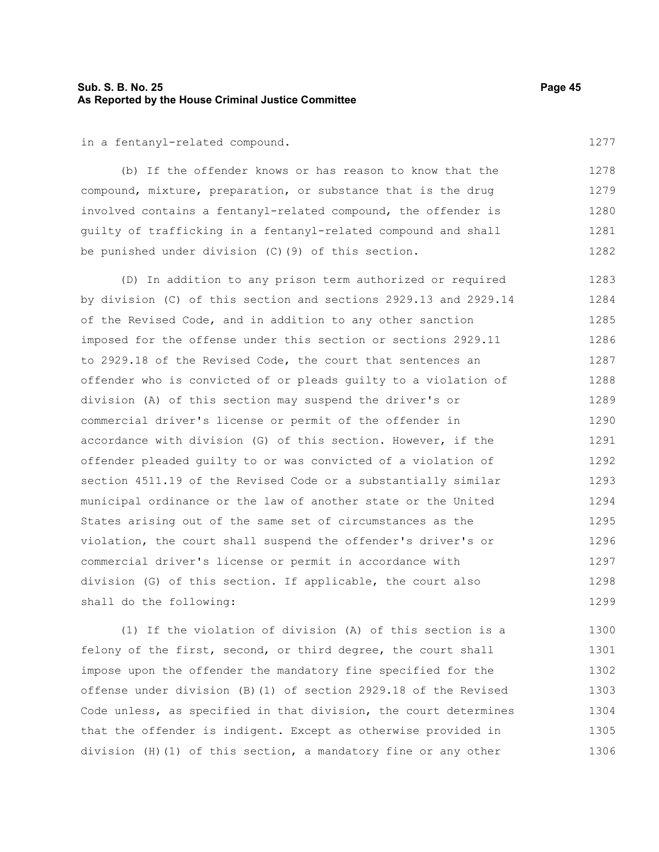#### **Sub. S. B. No. 25 Page 45 As Reported by the House Criminal Justice Committee**

in a fentanyl-related compound.

(b) If the offender knows or has reason to know that the compound, mixture, preparation, or substance that is the drug involved contains a fentanyl-related compound, the offender is guilty of trafficking in a fentanyl-related compound and shall be punished under division (C)(9) of this section. 1278 1279 1280 1281 1282

(D) In addition to any prison term authorized or required by division (C) of this section and sections 2929.13 and 2929.14 of the Revised Code, and in addition to any other sanction imposed for the offense under this section or sections 2929.11 to 2929.18 of the Revised Code, the court that sentences an offender who is convicted of or pleads guilty to a violation of division (A) of this section may suspend the driver's or commercial driver's license or permit of the offender in accordance with division (G) of this section. However, if the offender pleaded guilty to or was convicted of a violation of section 4511.19 of the Revised Code or a substantially similar municipal ordinance or the law of another state or the United States arising out of the same set of circumstances as the violation, the court shall suspend the offender's driver's or commercial driver's license or permit in accordance with division (G) of this section. If applicable, the court also shall do the following: 1283 1284 1285 1286 1287 1288 1289 1290 1291 1292 1293 1294 1295 1296 1297 1298 1299

(1) If the violation of division (A) of this section is a felony of the first, second, or third degree, the court shall impose upon the offender the mandatory fine specified for the offense under division (B)(1) of section 2929.18 of the Revised Code unless, as specified in that division, the court determines that the offender is indigent. Except as otherwise provided in division (H)(1) of this section, a mandatory fine or any other 1300 1301 1302 1303 1304 1305 1306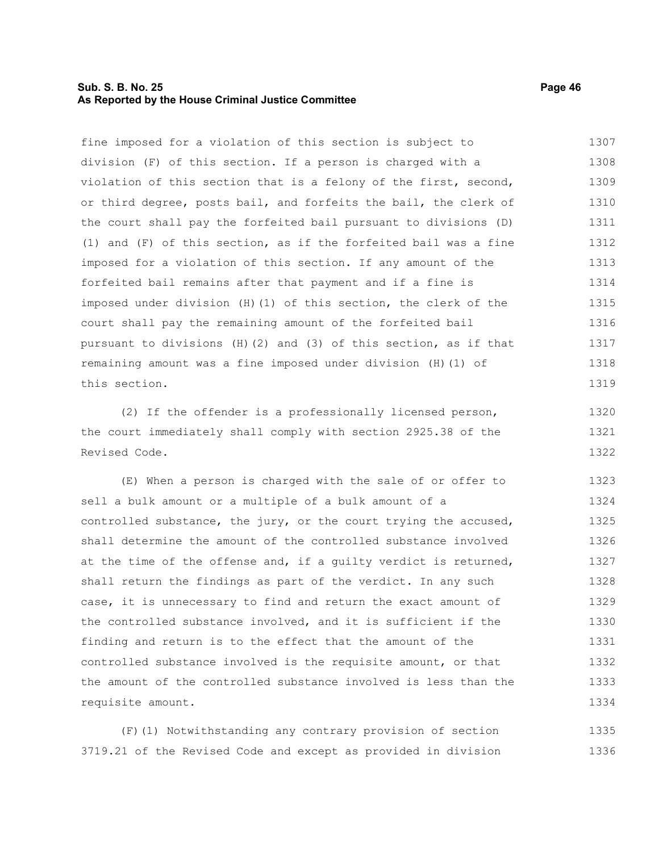#### **Sub. S. B. No. 25 Page 46 As Reported by the House Criminal Justice Committee**

fine imposed for a violation of this section is subject to division (F) of this section. If a person is charged with a violation of this section that is a felony of the first, second, or third degree, posts bail, and forfeits the bail, the clerk of the court shall pay the forfeited bail pursuant to divisions (D) (1) and (F) of this section, as if the forfeited bail was a fine imposed for a violation of this section. If any amount of the forfeited bail remains after that payment and if a fine is imposed under division  $(H)(1)$  of this section, the clerk of the court shall pay the remaining amount of the forfeited bail pursuant to divisions (H)(2) and (3) of this section, as if that remaining amount was a fine imposed under division (H)(1) of this section. 1307 1308 1309 1310 1311 1312 1313 1314 1315 1316 1317 1318 1319

(2) If the offender is a professionally licensed person, the court immediately shall comply with section 2925.38 of the Revised Code. 1320 1321 1322

(E) When a person is charged with the sale of or offer to sell a bulk amount or a multiple of a bulk amount of a controlled substance, the jury, or the court trying the accused, shall determine the amount of the controlled substance involved at the time of the offense and, if a guilty verdict is returned, shall return the findings as part of the verdict. In any such case, it is unnecessary to find and return the exact amount of the controlled substance involved, and it is sufficient if the finding and return is to the effect that the amount of the controlled substance involved is the requisite amount, or that the amount of the controlled substance involved is less than the requisite amount. 1323 1324 1325 1326 1327 1328 1329 1330 1331 1332 1333 1334

(F)(1) Notwithstanding any contrary provision of section 3719.21 of the Revised Code and except as provided in division 1335 1336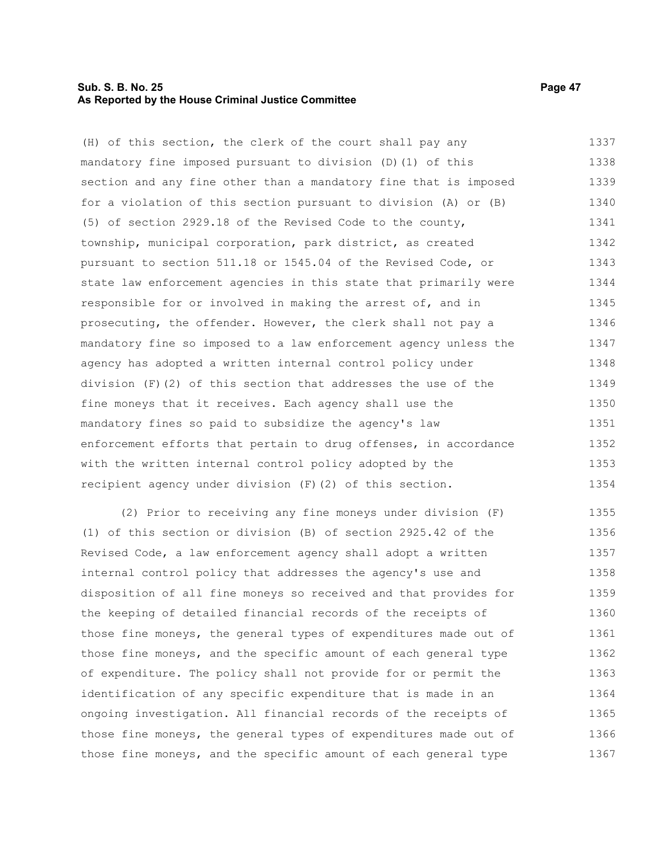#### **Sub. S. B. No. 25 Page 47 As Reported by the House Criminal Justice Committee**

(H) of this section, the clerk of the court shall pay any mandatory fine imposed pursuant to division (D)(1) of this section and any fine other than a mandatory fine that is imposed for a violation of this section pursuant to division (A) or (B) (5) of section 2929.18 of the Revised Code to the county, township, municipal corporation, park district, as created pursuant to section 511.18 or 1545.04 of the Revised Code, or state law enforcement agencies in this state that primarily were responsible for or involved in making the arrest of, and in prosecuting, the offender. However, the clerk shall not pay a mandatory fine so imposed to a law enforcement agency unless the agency has adopted a written internal control policy under division (F)(2) of this section that addresses the use of the fine moneys that it receives. Each agency shall use the mandatory fines so paid to subsidize the agency's law enforcement efforts that pertain to drug offenses, in accordance with the written internal control policy adopted by the recipient agency under division (F)(2) of this section. 1337 1338 1339 1340 1341 1342 1343 1344 1345 1346 1347 1348 1349 1350 1351 1352 1353 1354

(2) Prior to receiving any fine moneys under division (F) (1) of this section or division (B) of section 2925.42 of the Revised Code, a law enforcement agency shall adopt a written internal control policy that addresses the agency's use and disposition of all fine moneys so received and that provides for the keeping of detailed financial records of the receipts of those fine moneys, the general types of expenditures made out of those fine moneys, and the specific amount of each general type of expenditure. The policy shall not provide for or permit the identification of any specific expenditure that is made in an ongoing investigation. All financial records of the receipts of those fine moneys, the general types of expenditures made out of those fine moneys, and the specific amount of each general type 1355 1356 1357 1358 1359 1360 1361 1362 1363 1364 1365 1366 1367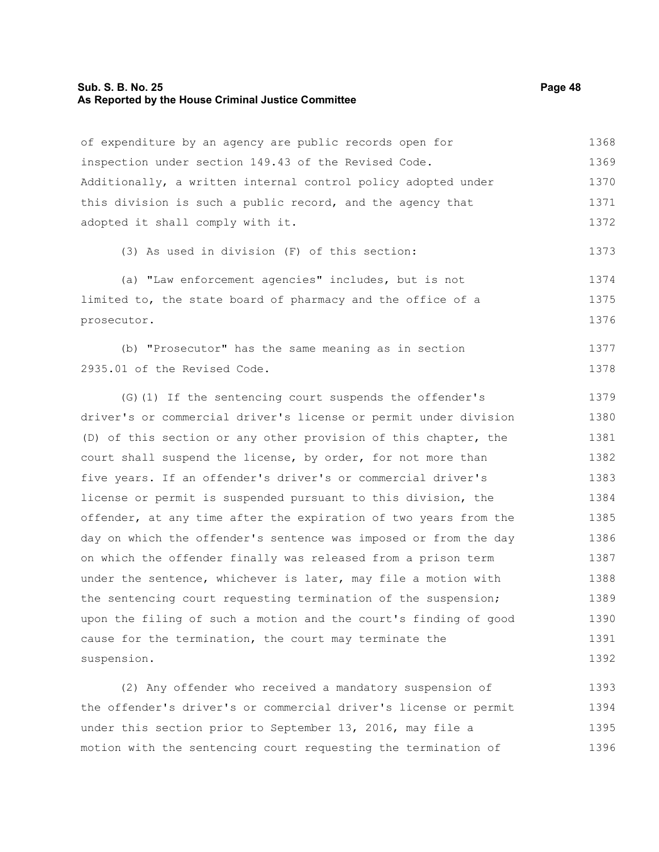#### **Sub. S. B. No. 25 Page 48 As Reported by the House Criminal Justice Committee**

of expenditure by an agency are public records open for inspection under section 149.43 of the Revised Code. Additionally, a written internal control policy adopted under this division is such a public record, and the agency that adopted it shall comply with it. (3) As used in division (F) of this section: (a) "Law enforcement agencies" includes, but is not limited to, the state board of pharmacy and the office of a prosecutor. (b) "Prosecutor" has the same meaning as in section 2935.01 of the Revised Code. (G)(1) If the sentencing court suspends the offender's driver's or commercial driver's license or permit under division (D) of this section or any other provision of this chapter, the court shall suspend the license, by order, for not more than five years. If an offender's driver's or commercial driver's license or permit is suspended pursuant to this division, the offender, at any time after the expiration of two years from the day on which the offender's sentence was imposed or from the day on which the offender finally was released from a prison term under the sentence, whichever is later, may file a motion with the sentencing court requesting termination of the suspension; upon the filing of such a motion and the court's finding of good cause for the termination, the court may terminate the 1368 1369 1370 1371 1372 1373 1374 1375 1376 1377 1378 1379 1380 1381 1382 1383 1384 1385 1386 1387 1388 1389 1390 1391

(2) Any offender who received a mandatory suspension of

suspension.

the offender's driver's or commercial driver's license or permit under this section prior to September 13, 2016, may file a motion with the sentencing court requesting the termination of 1394 1395 1396

1392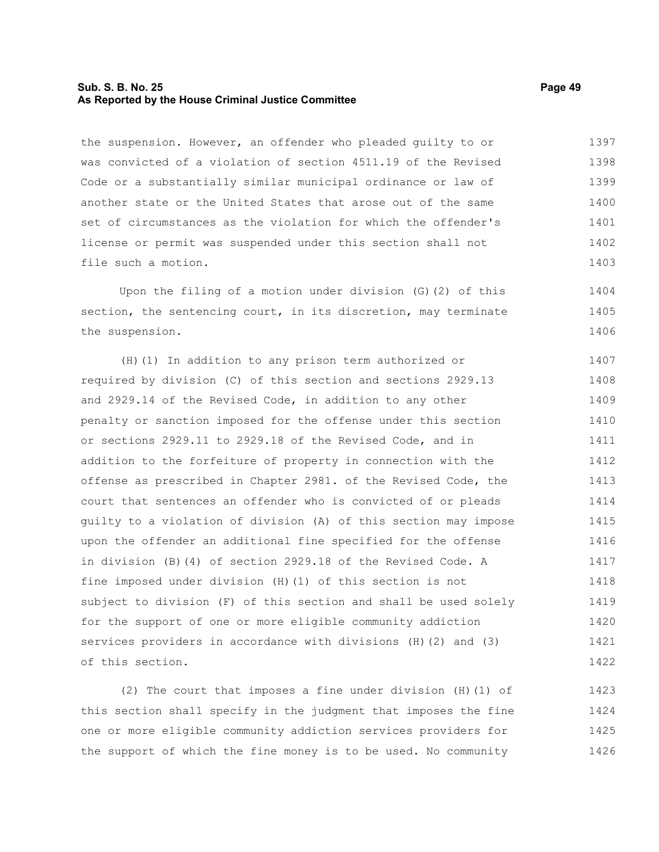#### **Sub. S. B. No. 25 Page 49 As Reported by the House Criminal Justice Committee**

the suspension. However, an offender who pleaded guilty to or was convicted of a violation of section 4511.19 of the Revised Code or a substantially similar municipal ordinance or law of another state or the United States that arose out of the same set of circumstances as the violation for which the offender's license or permit was suspended under this section shall not file such a motion. 1397 1398 1399 1400 1401 1402 1403

Upon the filing of a motion under division (G)(2) of this section, the sentencing court, in its discretion, may terminate the suspension. 1404 1405 1406

(H)(1) In addition to any prison term authorized or required by division (C) of this section and sections 2929.13 and 2929.14 of the Revised Code, in addition to any other penalty or sanction imposed for the offense under this section or sections 2929.11 to 2929.18 of the Revised Code, and in addition to the forfeiture of property in connection with the offense as prescribed in Chapter 2981. of the Revised Code, the court that sentences an offender who is convicted of or pleads guilty to a violation of division (A) of this section may impose upon the offender an additional fine specified for the offense in division (B)(4) of section 2929.18 of the Revised Code. A fine imposed under division (H)(1) of this section is not subject to division (F) of this section and shall be used solely for the support of one or more eligible community addiction services providers in accordance with divisions (H)(2) and (3) of this section. 1407 1408 1409 1410 1411 1412 1413 1414 1415 1416 1417 1418 1419 1420 1421 1422

(2) The court that imposes a fine under division (H)(1) of this section shall specify in the judgment that imposes the fine one or more eligible community addiction services providers for the support of which the fine money is to be used. No community 1423 1424 1425 1426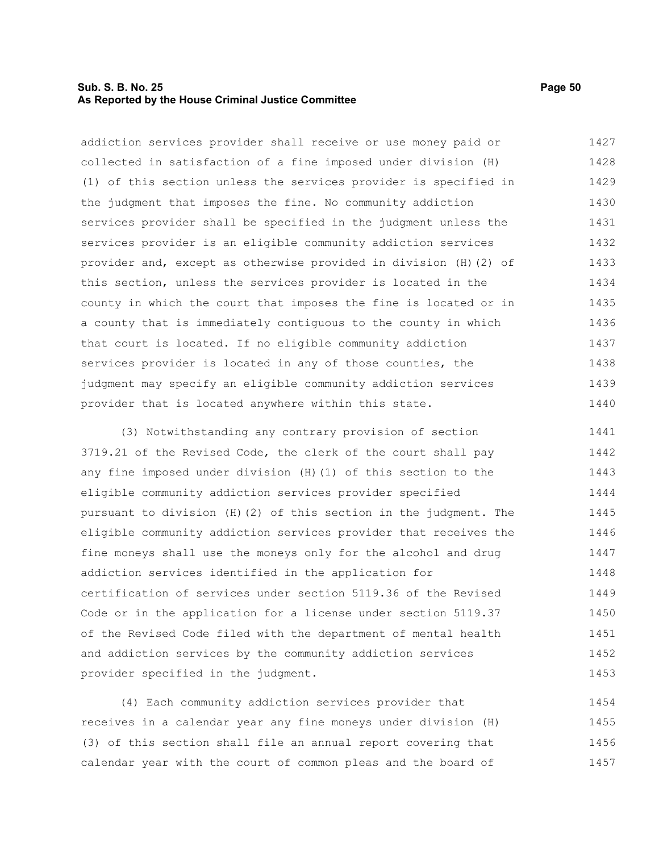#### **Sub. S. B. No. 25 Page 50 As Reported by the House Criminal Justice Committee**

addiction services provider shall receive or use money paid or collected in satisfaction of a fine imposed under division (H) (1) of this section unless the services provider is specified in the judgment that imposes the fine. No community addiction services provider shall be specified in the judgment unless the services provider is an eligible community addiction services provider and, except as otherwise provided in division (H)(2) of this section, unless the services provider is located in the county in which the court that imposes the fine is located or in a county that is immediately contiguous to the county in which that court is located. If no eligible community addiction services provider is located in any of those counties, the judgment may specify an eligible community addiction services provider that is located anywhere within this state. 1427 1428 1429 1430 1431 1432 1433 1434 1435 1436 1437 1438 1439 1440

(3) Notwithstanding any contrary provision of section 3719.21 of the Revised Code, the clerk of the court shall pay any fine imposed under division (H)(1) of this section to the eligible community addiction services provider specified pursuant to division (H)(2) of this section in the judgment. The eligible community addiction services provider that receives the fine moneys shall use the moneys only for the alcohol and drug addiction services identified in the application for certification of services under section 5119.36 of the Revised Code or in the application for a license under section 5119.37 of the Revised Code filed with the department of mental health and addiction services by the community addiction services provider specified in the judgment. 1441 1442 1443 1444 1445 1446 1447 1448 1449 1450 1451 1452 1453

(4) Each community addiction services provider that receives in a calendar year any fine moneys under division (H) (3) of this section shall file an annual report covering that calendar year with the court of common pleas and the board of 1454 1455 1456 1457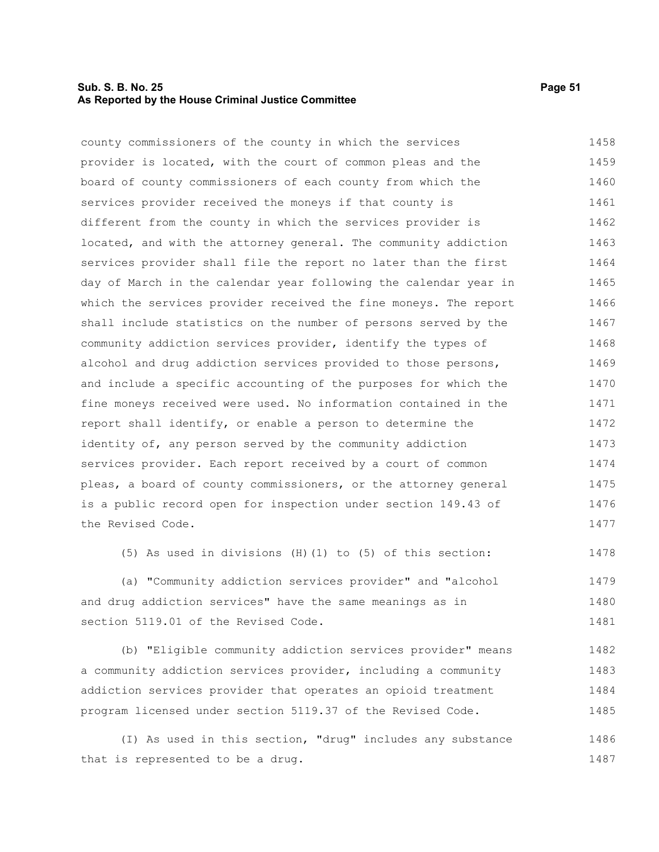#### **Sub. S. B. No. 25 Page 51 As Reported by the House Criminal Justice Committee**

county commissioners of the county in which the services provider is located, with the court of common pleas and the board of county commissioners of each county from which the services provider received the moneys if that county is different from the county in which the services provider is located, and with the attorney general. The community addiction services provider shall file the report no later than the first day of March in the calendar year following the calendar year in which the services provider received the fine moneys. The report shall include statistics on the number of persons served by the community addiction services provider, identify the types of alcohol and drug addiction services provided to those persons, and include a specific accounting of the purposes for which the fine moneys received were used. No information contained in the report shall identify, or enable a person to determine the identity of, any person served by the community addiction services provider. Each report received by a court of common pleas, a board of county commissioners, or the attorney general is a public record open for inspection under section 149.43 of the Revised Code. 1458 1459 1460 1461 1462 1463 1464 1465 1466 1467 1468 1469 1470 1471 1472 1473 1474 1475 1476 1477

(5) As used in divisions (H)(1) to (5) of this section: 1478

(a) "Community addiction services provider" and "alcohol and drug addiction services" have the same meanings as in section 5119.01 of the Revised Code. 1479 1480 1481

(b) "Eligible community addiction services provider" means a community addiction services provider, including a community addiction services provider that operates an opioid treatment program licensed under section 5119.37 of the Revised Code. 1482 1483 1484 1485

(I) As used in this section, "drug" includes any substance that is represented to be a drug. 1486 1487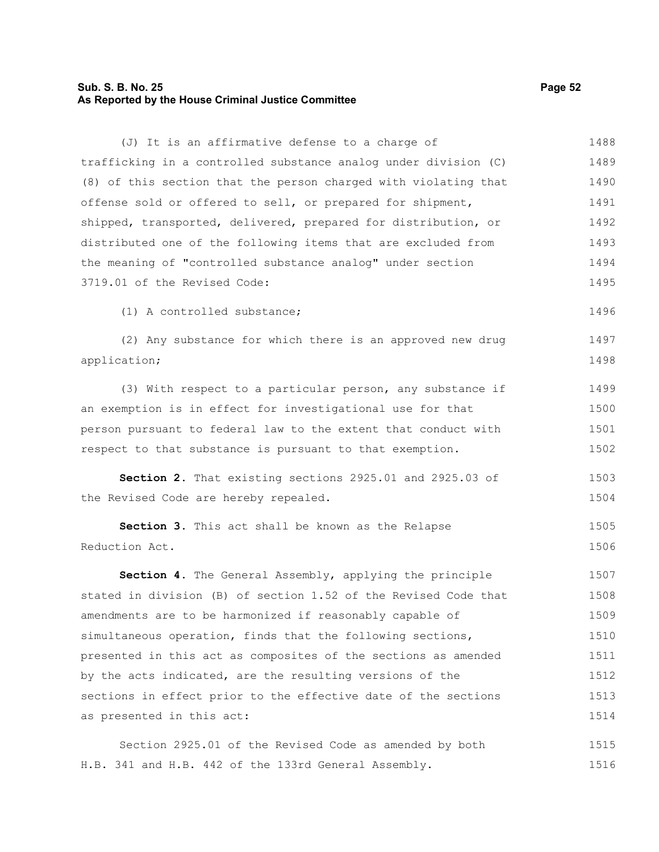#### **Sub. S. B. No. 25 Page 52 As Reported by the House Criminal Justice Committee**

(J) It is an affirmative defense to a charge of trafficking in a controlled substance analog under division (C) (8) of this section that the person charged with violating that offense sold or offered to sell, or prepared for shipment, shipped, transported, delivered, prepared for distribution, or distributed one of the following items that are excluded from the meaning of "controlled substance analog" under section 3719.01 of the Revised Code: 1488 1489 1490 1491 1492 1493 1494 1495

(1) A controlled substance;

(2) Any substance for which there is an approved new drug application; 1497 1498

(3) With respect to a particular person, any substance if an exemption is in effect for investigational use for that person pursuant to federal law to the extent that conduct with respect to that substance is pursuant to that exemption. 1499 1500 1501 1502

**Section 2.** That existing sections 2925.01 and 2925.03 of the Revised Code are hereby repealed. 1503 1504

**Section 3.** This act shall be known as the Relapse Reduction Act. 1505 1506

**Section 4.** The General Assembly, applying the principle stated in division (B) of section 1.52 of the Revised Code that amendments are to be harmonized if reasonably capable of simultaneous operation, finds that the following sections, presented in this act as composites of the sections as amended by the acts indicated, are the resulting versions of the sections in effect prior to the effective date of the sections as presented in this act: 1507 1508 1509 1510 1511 1512 1513 1514

Section 2925.01 of the Revised Code as amended by both H.B. 341 and H.B. 442 of the 133rd General Assembly. 1515 1516